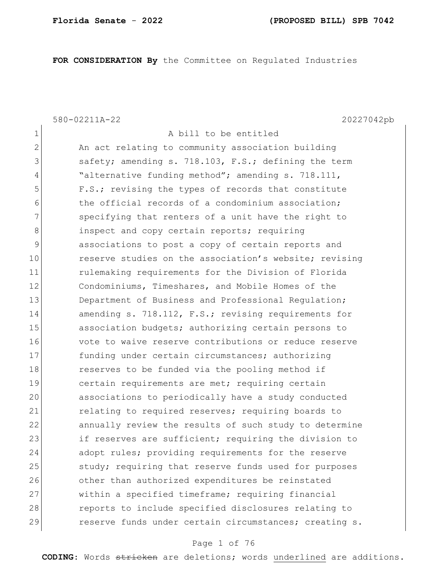**FOR CONSIDERATION By** the Committee on Regulated Industries

1 A bill to be entitled

580-02211A-22 20227042pb

| $\overline{2}$ | An act relating to community association building      |
|----------------|--------------------------------------------------------|
| 3              | safety; amending s. 718.103, F.S.; defining the term   |
| 4              | "alternative funding method"; amending s. 718.111,     |
| 5              | F.S.; revising the types of records that constitute    |
| 6              | the official records of a condominium association;     |
| 7              | specifying that renters of a unit have the right to    |
| 8              | inspect and copy certain reports; requiring            |
| $\mathcal{G}$  | associations to post a copy of certain reports and     |
| 10             | reserve studies on the association's website; revising |
| 11             | rulemaking requirements for the Division of Florida    |
| 12             | Condominiums, Timeshares, and Mobile Homes of the      |
| 13             | Department of Business and Professional Regulation;    |
| 14             | amending s. 718.112, F.S.; revising requirements for   |
| 15             | association budgets; authorizing certain persons to    |
| 16             | vote to waive reserve contributions or reduce reserve  |
| 17             | funding under certain circumstances; authorizing       |
| 18             | reserves to be funded via the pooling method if        |
| 19             | certain requirements are met; requiring certain        |
| 20             | associations to periodically have a study conducted    |
| 21             | relating to required reserves; requiring boards to     |
| 22             | annually review the results of such study to determine |
| 23             | if reserves are sufficient; requiring the division to  |
| 24             | adopt rules; providing requirements for the reserve    |
| 25             | study; requiring that reserve funds used for purposes  |
| 26             | other than authorized expenditures be reinstated       |
| 27             | within a specified timeframe; requiring financial      |
| 28             | reports to include specified disclosures relating to   |
| 29             | reserve funds under certain circumstances; creating s. |
|                |                                                        |

## Page 1 of 76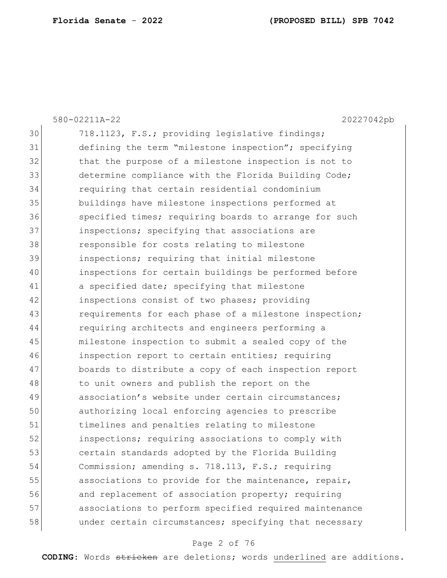|    | 580-02211A-22<br>20227042pb                            |
|----|--------------------------------------------------------|
| 30 | 718.1123, F.S.; providing legislative findings;        |
| 31 | defining the term "milestone inspection"; specifying   |
| 32 | that the purpose of a milestone inspection is not to   |
| 33 | determine compliance with the Florida Building Code;   |
| 34 | requiring that certain residential condominium         |
| 35 | buildings have milestone inspections performed at      |
| 36 | specified times; requiring boards to arrange for such  |
| 37 | inspections; specifying that associations are          |
| 38 | responsible for costs relating to milestone            |
| 39 | inspections; requiring that initial milestone          |
| 40 | inspections for certain buildings be performed before  |
| 41 | a specified date; specifying that milestone            |
| 42 | inspections consist of two phases; providing           |
| 43 | requirements for each phase of a milestone inspection; |
| 44 | requiring architects and engineers performing a        |
| 45 | milestone inspection to submit a sealed copy of the    |
| 46 | inspection report to certain entities; requiring       |
| 47 | boards to distribute a copy of each inspection report  |
| 48 | to unit owners and publish the report on the           |
| 49 | association's website under certain circumstances;     |
| 50 | authorizing local enforcing agencies to prescribe      |
| 51 | timelines and penalties relating to milestone          |
| 52 | inspections; requiring associations to comply with     |
| 53 | certain standards adopted by the Florida Building      |
| 54 | Commission; amending s. 718.113, F.S.; requiring       |
| 55 | associations to provide for the maintenance, repair,   |
| 56 | and replacement of association property; requiring     |
| 57 | associations to perform specified required maintenance |
| 58 | under certain circumstances; specifying that necessary |
|    |                                                        |

# Page 2 of 76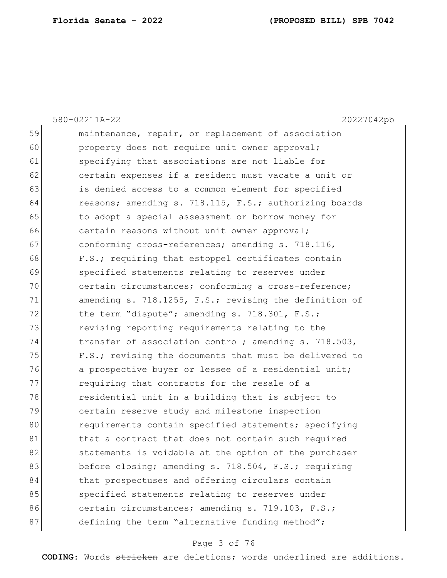|    | 20227042pb<br>580-02211A-22                            |
|----|--------------------------------------------------------|
| 59 | maintenance, repair, or replacement of association     |
| 60 | property does not require unit owner approval;         |
| 61 | specifying that associations are not liable for        |
| 62 | certain expenses if a resident must vacate a unit or   |
| 63 | is denied access to a common element for specified     |
| 64 | reasons; amending s. 718.115, F.S.; authorizing boards |
| 65 | to adopt a special assessment or borrow money for      |
| 66 | certain reasons without unit owner approval;           |
| 67 | conforming cross-references; amending s. 718.116,      |
| 68 | F.S.; requiring that estoppel certificates contain     |
| 69 | specified statements relating to reserves under        |
| 70 | certain circumstances; conforming a cross-reference;   |
| 71 | amending s. 718.1255, F.S.; revising the definition of |
| 72 | the term "dispute"; amending s. 718.301, F.S.;         |
| 73 | revising reporting requirements relating to the        |
| 74 | transfer of association control; amending s. 718.503,  |
| 75 | F.S.; revising the documents that must be delivered to |
| 76 | a prospective buyer or lessee of a residential unit;   |
| 77 | requiring that contracts for the resale of a           |
| 78 | residential unit in a building that is subject to      |
| 79 | certain reserve study and milestone inspection         |
| 80 | requirements contain specified statements; specifying  |
| 81 | that a contract that does not contain such required    |
| 82 | statements is voidable at the option of the purchaser  |
| 83 | before closing; amending s. 718.504, F.S.; requiring   |
| 84 | that prospectuses and offering circulars contain       |
| 85 | specified statements relating to reserves under        |
| 86 | certain circumstances; amending s. 719.103, F.S.;      |
| 87 | defining the term "alternative funding method";        |
|    |                                                        |

# Page 3 of 76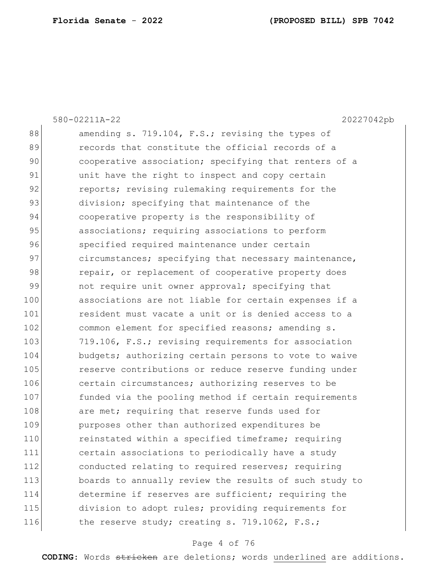|     | 580-02211A-22<br>20227042pb                            |
|-----|--------------------------------------------------------|
| 88  | amending s. 719.104, F.S.; revising the types of       |
| 89  | records that constitute the official records of a      |
| 90  | cooperative association; specifying that renters of a  |
| 91  | unit have the right to inspect and copy certain        |
| 92  | reports; revising rulemaking requirements for the      |
| 93  | division; specifying that maintenance of the           |
| 94  | cooperative property is the responsibility of          |
| 95  | associations; requiring associations to perform        |
| 96  | specified required maintenance under certain           |
| 97  | circumstances; specifying that necessary maintenance,  |
| 98  | repair, or replacement of cooperative property does    |
| 99  | not require unit owner approval; specifying that       |
| 100 | associations are not liable for certain expenses if a  |
| 101 | resident must vacate a unit or is denied access to a   |
| 102 | common element for specified reasons; amending s.      |
| 103 | 719.106, F.S.; revising requirements for association   |
| 104 | budgets; authorizing certain persons to vote to waive  |
| 105 | reserve contributions or reduce reserve funding under  |
| 106 | certain circumstances; authorizing reserves to be      |
| 107 | funded via the pooling method if certain requirements  |
| 108 | are met; requiring that reserve funds used for         |
| 109 | purposes other than authorized expenditures be         |
| 110 | reinstated within a specified timeframe; requiring     |
| 111 | certain associations to periodically have a study      |
| 112 | conducted relating to required reserves; requiring     |
| 113 | boards to annually review the results of such study to |
| 114 | determine if reserves are sufficient; requiring the    |
| 115 | division to adopt rules; providing requirements for    |
| 116 | the reserve study; creating s. 719.1062, F.S.;         |
|     |                                                        |

# Page 4 of 76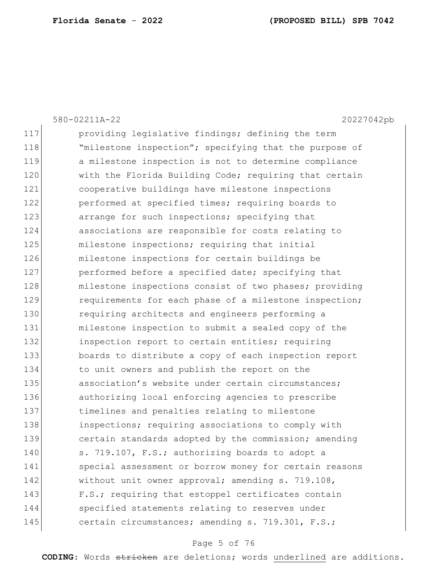|     | 580-02211A-22<br>20227042pb                            |
|-----|--------------------------------------------------------|
| 117 | providing legislative findings; defining the term      |
| 118 | "milestone inspection"; specifying that the purpose of |
| 119 | a milestone inspection is not to determine compliance  |
| 120 | with the Florida Building Code; requiring that certain |
| 121 | cooperative buildings have milestone inspections       |
| 122 | performed at specified times; requiring boards to      |
| 123 | arrange for such inspections; specifying that          |
| 124 | associations are responsible for costs relating to     |
| 125 | milestone inspections; requiring that initial          |
| 126 | milestone inspections for certain buildings be         |
| 127 | performed before a specified date; specifying that     |
| 128 | milestone inspections consist of two phases; providing |
| 129 | requirements for each phase of a milestone inspection; |
| 130 | requiring architects and engineers performing a        |
| 131 | milestone inspection to submit a sealed copy of the    |
| 132 | inspection report to certain entities; requiring       |
| 133 | boards to distribute a copy of each inspection report  |
| 134 | to unit owners and publish the report on the           |
| 135 | association's website under certain circumstances;     |
| 136 | authorizing local enforcing agencies to prescribe      |
| 137 | timelines and penalties relating to milestone          |
| 138 | inspections; requiring associations to comply with     |
| 139 | certain standards adopted by the commission; amending  |
| 140 | s. 719.107, F.S.; authorizing boards to adopt a        |
| 141 | special assessment or borrow money for certain reasons |
| 142 | without unit owner approval; amending s. 719.108,      |
| 143 | F.S.; requiring that estoppel certificates contain     |
| 144 | specified statements relating to reserves under        |
| 145 | certain circumstances; amending s. 719.301, F.S.;      |

# Page 5 of 76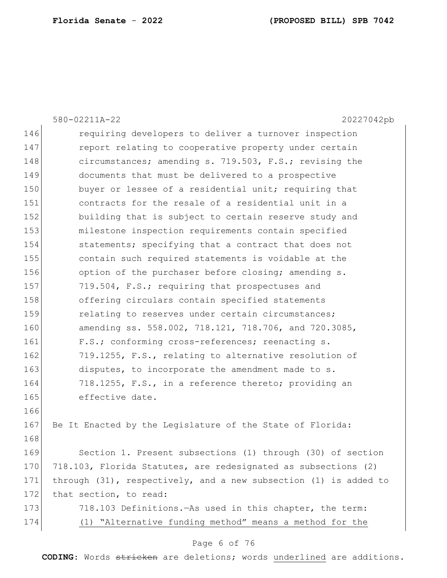|     | 580-02211A-22<br>20227042pb                                           |
|-----|-----------------------------------------------------------------------|
| 146 | requiring developers to deliver a turnover inspection                 |
| 147 | report relating to cooperative property under certain                 |
| 148 | circumstances; amending s. 719.503, F.S.; revising the                |
| 149 | documents that must be delivered to a prospective                     |
| 150 | buyer or lessee of a residential unit; requiring that                 |
| 151 | contracts for the resale of a residential unit in a                   |
| 152 | building that is subject to certain reserve study and                 |
| 153 | milestone inspection requirements contain specified                   |
| 154 | statements; specifying that a contract that does not                  |
| 155 | contain such required statements is voidable at the                   |
| 156 | option of the purchaser before closing; amending s.                   |
| 157 | 719.504, F.S.; requiring that prospectuses and                        |
| 158 | offering circulars contain specified statements                       |
| 159 | relating to reserves under certain circumstances;                     |
| 160 | amending ss. 558.002, 718.121, 718.706, and 720.3085,                 |
| 161 | F.S.; conforming cross-references; reenacting s.                      |
| 162 | 719.1255, F.S., relating to alternative resolution of                 |
| 163 | disputes, to incorporate the amendment made to s.                     |
| 164 | 718.1255, F.S., in a reference thereto; providing an                  |
| 165 | effective date.                                                       |
| 166 |                                                                       |
| 167 | Be It Enacted by the Legislature of the State of Florida:             |
| 168 |                                                                       |
| 169 | Section 1. Present subsections (1) through (30) of section            |
| 170 | 718.103, Florida Statutes, are redesignated as subsections (2)        |
| 171 | through $(31)$ , respectively, and a new subsection $(1)$ is added to |
| 172 | that section, to read:                                                |
| 173 | 718.103 Definitions. - As used in this chapter, the term:             |
| 174 | (1) "Alternative funding method" means a method for the               |

# Page 6 of 76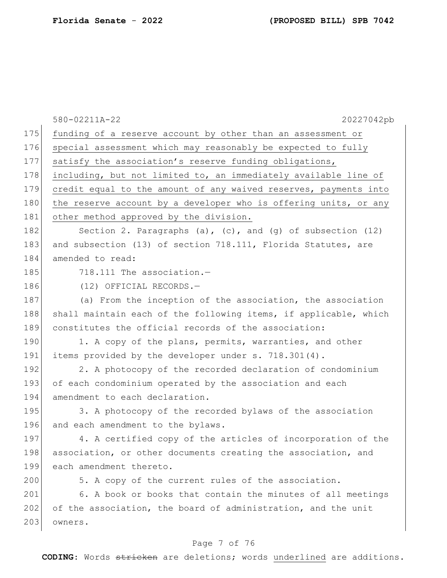|     | 580-02211A-22<br>20227042pb                                      |
|-----|------------------------------------------------------------------|
| 175 | funding of a reserve account by other than an assessment or      |
| 176 | special assessment which may reasonably be expected to fully     |
| 177 | satisfy the association's reserve funding obligations,           |
| 178 | including, but not limited to, an immediately available line of  |
| 179 | credit equal to the amount of any waived reserves, payments into |
| 180 | the reserve account by a developer who is offering units, or any |
| 181 | other method approved by the division.                           |
| 182 | Section 2. Paragraphs (a), (c), and (g) of subsection $(12)$     |
| 183 | and subsection (13) of section 718.111, Florida Statutes, are    |
| 184 | amended to read:                                                 |
| 185 | 718.111 The association.-                                        |
| 186 | (12) OFFICIAL RECORDS.-                                          |
| 187 | (a) From the inception of the association, the association       |
| 188 | shall maintain each of the following items, if applicable, which |
| 189 | constitutes the official records of the association:             |
| 190 | 1. A copy of the plans, permits, warranties, and other           |
| 191 | items provided by the developer under s. 718.301(4).             |
| 192 | 2. A photocopy of the recorded declaration of condominium        |
| 193 | of each condominium operated by the association and each         |
| 194 | amendment to each declaration.                                   |
| 195 | 3. A photocopy of the recorded bylaws of the association         |
| 196 | and each amendment to the bylaws.                                |
| 197 | 4. A certified copy of the articles of incorporation of the      |
| 198 | association, or other documents creating the association, and    |
| 199 | each amendment thereto.                                          |
| 200 | 5. A copy of the current rules of the association.               |
| 201 | 6. A book or books that contain the minutes of all meetings      |
| 202 | of the association, the board of administration, and the unit    |
| 203 | owners.                                                          |
|     |                                                                  |

# Page 7 of 76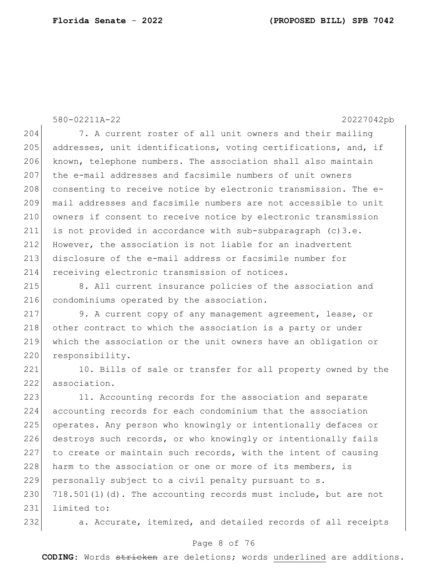580-02211A-22 20227042pb 204 7. A current roster of all unit owners and their mailing 205 addresses, unit identifications, voting certifications, and, if 206 known, telephone numbers. The association shall also maintain 207 | the e-mail addresses and facsimile numbers of unit owners 208 consenting to receive notice by electronic transmission. The e-209 mail addresses and facsimile numbers are not accessible to unit 210 owners if consent to receive notice by electronic transmission 211 is not provided in accordance with sub-subparagraph  $(c)3.e.$ 212 However, the association is not liable for an inadvertent 213 disclosure of the e-mail address or facsimile number for 214 receiving electronic transmission of notices. 215 8. All current insurance policies of the association and 216 condominiums operated by the association. 217 9. A current copy of any management agreement, lease, or 218 other contract to which the association is a party or under 219 which the association or the unit owners have an obligation or 220 responsibility. 221 10. Bills of sale or transfer for all property owned by the 222 association. 223 11. Accounting records for the association and separate 224 accounting records for each condominium that the association 225 operates. Any person who knowingly or intentionally defaces or 226 destroys such records, or who knowingly or intentionally fails  $227$  to create or maintain such records, with the intent of causing 228 harm to the association or one or more of its members, is 229 personally subject to a civil penalty pursuant to s.

 $230$  718.501(1)(d). The accounting records must include, but are not 231 limited to:

232 a. Accurate, itemized, and detailed records of all receipts

## Page 8 of 76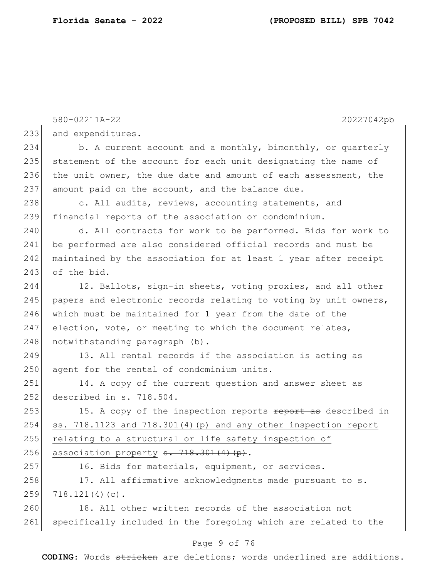|     | 580-02211A-22<br>20227042pb                                      |
|-----|------------------------------------------------------------------|
| 233 | and expenditures.                                                |
| 234 | b. A current account and a monthly, bimonthly, or quarterly      |
| 235 | statement of the account for each unit designating the name of   |
| 236 | the unit owner, the due date and amount of each assessment, the  |
| 237 | amount paid on the account, and the balance due.                 |
| 238 | c. All audits, reviews, accounting statements, and               |
| 239 | financial reports of the association or condominium.             |
| 240 | d. All contracts for work to be performed. Bids for work to      |
| 241 | be performed are also considered official records and must be    |
| 242 | maintained by the association for at least 1 year after receipt  |
| 243 | of the bid.                                                      |
| 244 | 12. Ballots, sign-in sheets, voting proxies, and all other       |
| 245 | papers and electronic records relating to voting by unit owners, |
| 246 | which must be maintained for 1 year from the date of the         |
| 247 | election, vote, or meeting to which the document relates,        |
| 248 | notwithstanding paragraph (b).                                   |
| 249 | 13. All rental records if the association is acting as           |
| 250 | agent for the rental of condominium units.                       |
| 251 | 14. A copy of the current question and answer sheet as           |
| 252 | described in s. 718.504.                                         |
| 253 | 15. A copy of the inspection reports report as described in      |
| 254 | ss. 718.1123 and 718.301(4) (p) and any other inspection report  |
| 255 | relating to a structural or life safety inspection of            |
| 256 | association property s. 718.301(4)(p).                           |
| 257 | 16. Bids for materials, equipment, or services.                  |
| 258 | 17. All affirmative acknowledgments made pursuant to s.          |
| 259 | $718.121(4)(c)$ .                                                |
| 260 | 18. All other written records of the association not             |
| 261 | specifically included in the foregoing which are related to the  |

# Page 9 of 76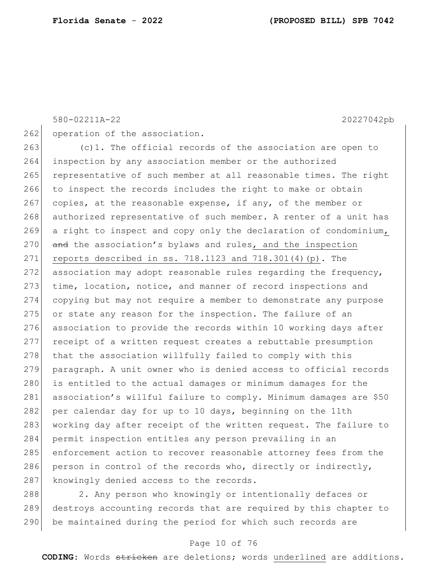580-02211A-22 20227042pb

262 operation of the association.

263 (c)1. The official records of the association are open to 264 inspection by any association member or the authorized 265 representative of such member at all reasonable times. The right 266 to inspect the records includes the right to make or obtain  $267$  copies, at the reasonable expense, if any, of the member or 268 authorized representative of such member. A renter of a unit has 269 a right to inspect and copy only the declaration of condominium, 270 and the association's bylaws and rules, and the inspection 271 reports described in ss. 718.1123 and  $718.301(4)$  (p). The 272 association may adopt reasonable rules regarding the frequency, 273 time, location, notice, and manner of record inspections and 274 copying but may not require a member to demonstrate any purpose 275 or state any reason for the inspection. The failure of an 276 association to provide the records within 10 working days after 277 receipt of a written request creates a rebuttable presumption 278 that the association willfully failed to comply with this 279 paragraph. A unit owner who is denied access to official records 280 is entitled to the actual damages or minimum damages for the 281 association's willful failure to comply. Minimum damages are \$50 282 per calendar day for up to 10 days, beginning on the 11th 283 working day after receipt of the written request. The failure to 284 permit inspection entitles any person prevailing in an 285 enforcement action to recover reasonable attorney fees from the 286 person in control of the records who, directly or indirectly, 287 knowingly denied access to the records.

288 288 2. Any person who knowingly or intentionally defaces or 289 destroys accounting records that are required by this chapter to 290 be maintained during the period for which such records are

#### Page 10 of 76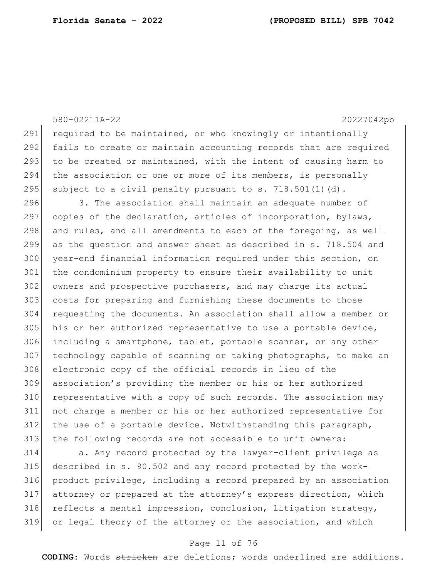|     | 580-02211A-22<br>20227042pb                                      |
|-----|------------------------------------------------------------------|
| 291 | required to be maintained, or who knowingly or intentionally     |
| 292 | fails to create or maintain accounting records that are required |
| 293 | to be created or maintained, with the intent of causing harm to  |
| 294 | the association or one or more of its members, is personally     |
| 295 | subject to a civil penalty pursuant to s. 718.501(1)(d).         |
| 296 | 3. The association shall maintain an adequate number of          |
| 297 | copies of the declaration, articles of incorporation, bylaws,    |
| 298 | and rules, and all amendments to each of the foregoing, as well  |
| 299 | as the question and answer sheet as described in s. 718.504 and  |
| 300 | year-end financial information required under this section, on   |
| 301 | the condominium property to ensure their availability to unit    |
| 302 | owners and prospective purchasers, and may charge its actual     |
| 303 | costs for preparing and furnishing these documents to those      |
| 304 | requesting the documents. An association shall allow a member or |
| 305 | his or her authorized representative to use a portable device,   |
| 306 | including a smartphone, tablet, portable scanner, or any other   |
| 307 | technology capable of scanning or taking photographs, to make an |
| 308 | electronic copy of the official records in lieu of the           |
| 309 | association's providing the member or his or her authorized      |
| 310 | representative with a copy of such records. The association may  |
| 311 | not charge a member or his or her authorized representative for  |
| 312 | the use of a portable device. Notwithstanding this paragraph,    |
| 313 | the following records are not accessible to unit owners:         |
| .   |                                                                  |

314 a. Any record protected by the lawyer-client privilege as described in s. 90.502 and any record protected by the work- product privilege, including a record prepared by an association 317 attorney or prepared at the attorney's express direction, which 318 reflects a mental impression, conclusion, litigation strategy, or legal theory of the attorney or the association, and which

## Page 11 of 76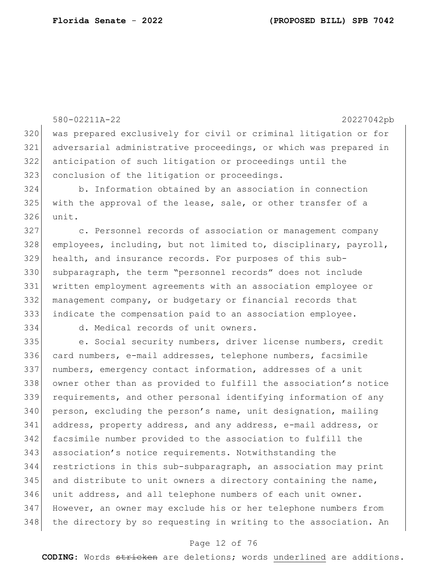580-02211A-22 20227042pb was prepared exclusively for civil or criminal litigation or for adversarial administrative proceedings, or which was prepared in anticipation of such litigation or proceedings until the 323 conclusion of the litigation or proceedings. b. Information obtained by an association in connection with the approval of the lease, sale, or other transfer of a unit. 327 c. Personnel records of association or management company employees, including, but not limited to, disciplinary, payroll, health, and insurance records. For purposes of this sub- subparagraph, the term "personnel records" does not include written employment agreements with an association employee or management company, or budgetary or financial records that indicate the compensation paid to an association employee. d. Medical records of unit owners. 335 e. Social security numbers, driver license numbers, credit card numbers, e-mail addresses, telephone numbers, facsimile 337 | numbers, emergency contact information, addresses of a unit owner other than as provided to fulfill the association's notice requirements, and other personal identifying information of any person, excluding the person's name, unit designation, mailing 341 address, property address, and any address, e-mail address, or facsimile number provided to the association to fulfill the 343 association's notice requirements. Notwithstanding the restrictions in this sub-subparagraph, an association may print and distribute to unit owners a directory containing the name, unit address, and all telephone numbers of each unit owner. However, an owner may exclude his or her telephone numbers from 348 | the directory by so requesting in writing to the association. An

## Page 12 of 76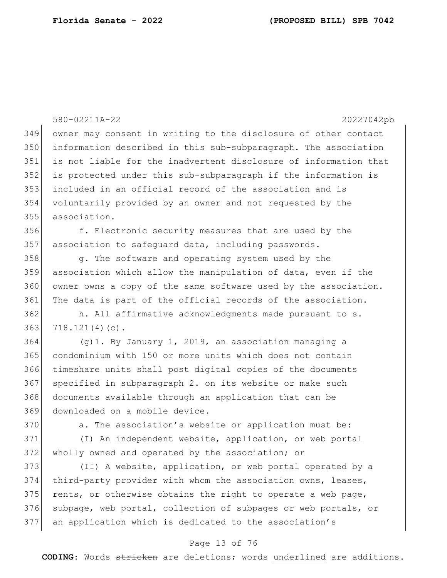580-02211A-22 20227042pb owner may consent in writing to the disclosure of other contact information described in this sub-subparagraph. The association is not liable for the inadvertent disclosure of information that is protected under this sub-subparagraph if the information is included in an official record of the association and is voluntarily provided by an owner and not requested by the association. f. Electronic security measures that are used by the association to safequard data, including passwords. 358 g. The software and operating system used by the association which allow the manipulation of data, even if the owner owns a copy of the same software used by the association. 361 The data is part of the official records of the association. h. All affirmative acknowledgments made pursuant to s. 718.121(4)(c). 364 (g)1. By January 1, 2019, an association managing a condominium with 150 or more units which does not contain timeshare units shall post digital copies of the documents 367 specified in subparagraph 2. on its website or make such documents available through an application that can be downloaded on a mobile device. 370 a. The association's website or application must be: (I) An independent website, application, or web portal wholly owned and operated by the association; or (II) A website, application, or web portal operated by a third-party provider with whom the association owns, leases, rents, or otherwise obtains the right to operate a web page, 376 subpage, web portal, collection of subpages or web portals, or an application which is dedicated to the association's

## Page 13 of 76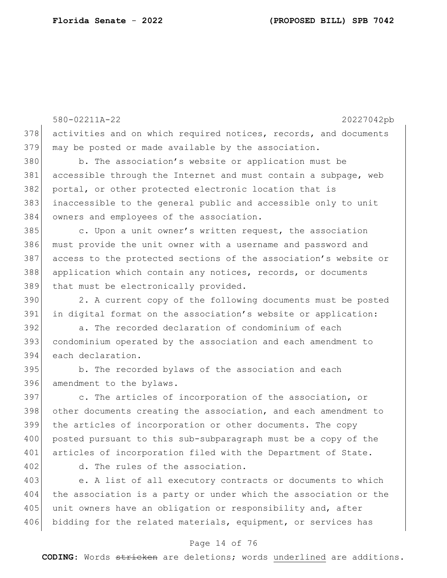580-02211A-22 20227042pb Page 14 of 76 378 activities and on which required notices, records, and documents 379 may be posted or made available by the association. 380 b. The association's website or application must be 381 accessible through the Internet and must contain a subpage, web 382 portal, or other protected electronic location that is 383 inaccessible to the general public and accessible only to unit 384 owners and employees of the association. 385 c. Upon a unit owner's written request, the association 386 must provide the unit owner with a username and password and 387 access to the protected sections of the association's website or 388 application which contain any notices, records, or documents 389 that must be electronically provided. 390 2. A current copy of the following documents must be posted 391 in digital format on the association's website or application: 392 a. The recorded declaration of condominium of each 393 condominium operated by the association and each amendment to 394 each declaration. 395 b. The recorded bylaws of the association and each 396 amendment to the bylaws. 397 c. The articles of incorporation of the association, or 398 other documents creating the association, and each amendment to 399 the articles of incorporation or other documents. The copy 400 posted pursuant to this sub-subparagraph must be a copy of the 401 articles of incorporation filed with the Department of State. 402 d. The rules of the association. 403 e. A list of all executory contracts or documents to which 404 the association is a party or under which the association or the 405 unit owners have an obligation or responsibility and, after 406 bidding for the related materials, equipment, or services has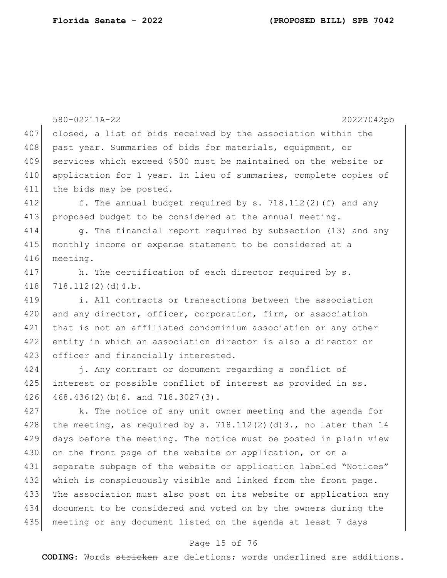|     | 580-02211A-22<br>20227042pb                                      |
|-----|------------------------------------------------------------------|
| 407 | closed, a list of bids received by the association within the    |
| 408 | past year. Summaries of bids for materials, equipment, or        |
| 409 | services which exceed \$500 must be maintained on the website or |
| 410 | application for 1 year. In lieu of summaries, complete copies of |
| 411 | the bids may be posted.                                          |
| 412 | f. The annual budget required by s. 718.112(2)(f) and any        |
| 413 | proposed budget to be considered at the annual meeting.          |
| 414 | g. The financial report required by subsection (13) and any      |
| 415 | monthly income or expense statement to be considered at a        |
| 416 | meeting.                                                         |
| 417 | h. The certification of each director required by s.             |
| 418 | 718.112(2)(d)4.b.                                                |
| 419 | i. All contracts or transactions between the association         |
| 420 | and any director, officer, corporation, firm, or association     |
| 421 | that is not an affiliated condominium association or any other   |
| 422 | entity in which an association director is also a director or    |
| 423 | officer and financially interested.                              |
| 424 | j. Any contract or document regarding a conflict of              |
| 425 | interest or possible conflict of interest as provided in ss.     |
| 426 | 468.436(2)(b)6. and 718.3027(3).                                 |
| 427 | k. The notice of any unit owner meeting and the agenda for       |
| 428 | the meeting, as required by s. 718.112(2)(d)3., no later than 14 |
| 429 | days before the meeting. The notice must be posted in plain view |
| 430 | on the front page of the website or application, or on a         |
| 431 | separate subpage of the website or application labeled "Notices" |
| 432 | which is conspicuously visible and linked from the front page.   |
| 433 | The association must also post on its website or application any |
| 434 | document to be considered and voted on by the owners during the  |
| 435 | meeting or any document listed on the agenda at least 7 days     |
|     |                                                                  |

# Page 15 of 76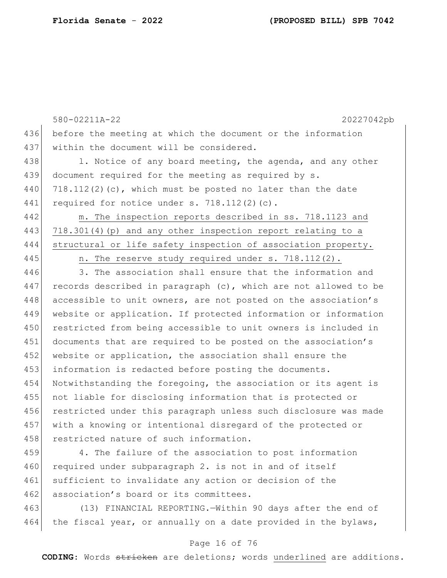580-02211A-22 20227042pb 436 before the meeting at which the document or the information 437 within the document will be considered. 438 1. Notice of any board meeting, the agenda, and any other 439 document required for the meeting as required by s. 440 718.112(2)(c), which must be posted no later than the date 441 required for notice under s. 718.112(2)(c). 442 m. The inspection reports described in ss. 718.1123 and 443 718.301(4)(p) and any other inspection report relating to a 444 structural or life safety inspection of association property. 445 | n. The reserve study required under s. 718.112(2). 446 3. The association shall ensure that the information and 447 records described in paragraph  $(c)$ , which are not allowed to be 448 accessible to unit owners, are not posted on the association's 449 website or application. If protected information or information 450 restricted from being accessible to unit owners is included in 451 documents that are required to be posted on the association's 452 website or application, the association shall ensure the 453 information is redacted before posting the documents. 454 Notwithstanding the foregoing, the association or its agent is 455 not liable for disclosing information that is protected or 456 restricted under this paragraph unless such disclosure was made 457 with a knowing or intentional disregard of the protected or 458 restricted nature of such information.

459 4. The failure of the association to post information 460 required under subparagraph 2. is not in and of itself 461 sufficient to invalidate any action or decision of the 462 association's board or its committees.

463 (13) FINANCIAL REPORTING.—Within 90 days after the end of  $464$  the fiscal year, or annually on a date provided in the bylaws,

## Page 16 of 76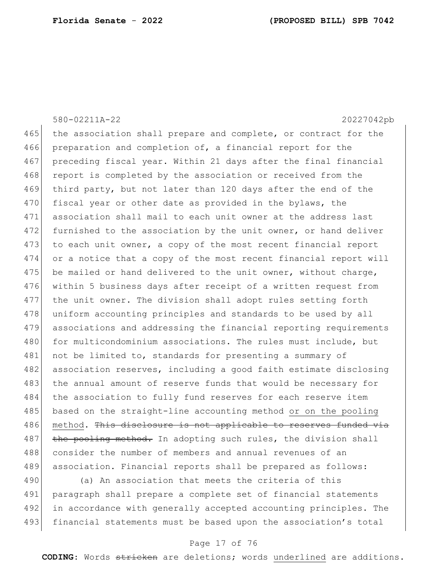580-02211A-22 20227042pb 465 the association shall prepare and complete, or contract for the 466 preparation and completion of, a financial report for the 467 preceding fiscal year. Within 21 days after the final financial 468 report is completed by the association or received from the 469 third party, but not later than 120 days after the end of the 470 fiscal year or other date as provided in the bylaws, the 471 association shall mail to each unit owner at the address last 472 furnished to the association by the unit owner, or hand deliver 473 to each unit owner, a copy of the most recent financial report 474 or a notice that a copy of the most recent financial report will 475 be mailed or hand delivered to the unit owner, without charge, 476 within 5 business days after receipt of a written request from 477 the unit owner. The division shall adopt rules setting forth 478 uniform accounting principles and standards to be used by all 479 associations and addressing the financial reporting requirements 480 for multicondominium associations. The rules must include, but 481 not be limited to, standards for presenting a summary of 482 association reserves, including a good faith estimate disclosing 483 the annual amount of reserve funds that would be necessary for 484 the association to fully fund reserves for each reserve item 485 based on the straight-line accounting method or on the pooling 486 method. This disclosure is not applicable to reserves funded via  $487$  the pooling method. In adopting such rules, the division shall 488 consider the number of members and annual revenues of an 489 association. Financial reports shall be prepared as follows: 490 (a) An association that meets the criteria of this

491 paragraph shall prepare a complete set of financial statements 492 in accordance with generally accepted accounting principles. The 493 financial statements must be based upon the association's total

#### Page 17 of 76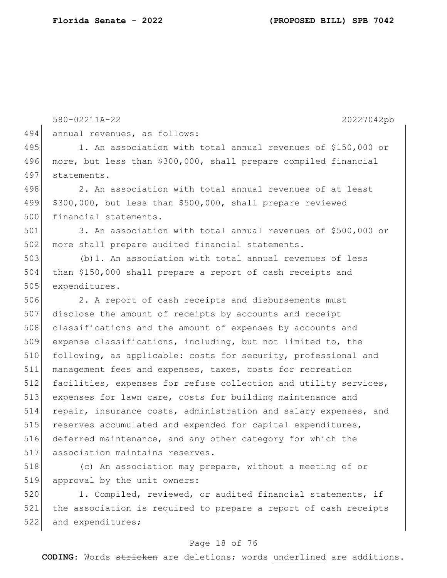580-02211A-22 20227042pb 494 annual revenues, as follows: 495 1. An association with total annual revenues of \$150,000 or 496 more, but less than \$300,000, shall prepare compiled financial 497 statements. 498 2. An association with total annual revenues of at least 499 \$300,000, but less than \$500,000, shall prepare reviewed 500 financial statements. 501 3. An association with total annual revenues of \$500,000 or 502 more shall prepare audited financial statements. 503 (b)1. An association with total annual revenues of less 504 than \$150,000 shall prepare a report of cash receipts and 505 expenditures. 506 2. A report of cash receipts and disbursements must 507 disclose the amount of receipts by accounts and receipt 508 classifications and the amount of expenses by accounts and 509 expense classifications, including, but not limited to, the 510 following, as applicable: costs for security, professional and 511 management fees and expenses, taxes, costs for recreation 512 facilities, expenses for refuse collection and utility services, 513 expenses for lawn care, costs for building maintenance and 514 repair, insurance costs, administration and salary expenses, and 515 reserves accumulated and expended for capital expenditures, 516 deferred maintenance, and any other category for which the 517 association maintains reserves.

518 (c) An association may prepare, without a meeting of or 519 approval by the unit owners:

520 1. Compiled, reviewed, or audited financial statements, if 521 the association is required to prepare a report of cash receipts 522 and expenditures;

#### Page 18 of 76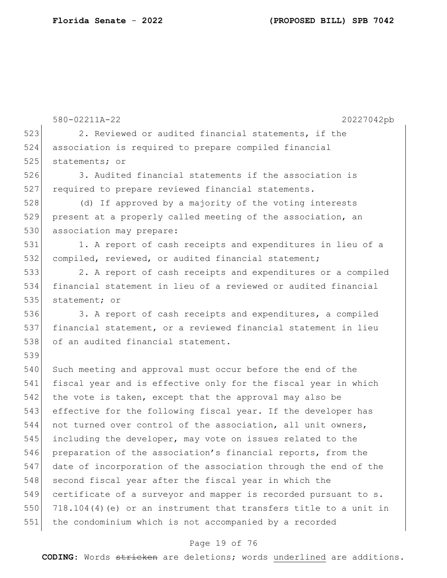|     | 580-02211A-22<br>20227042pb                                       |
|-----|-------------------------------------------------------------------|
| 523 | 2. Reviewed or audited financial statements, if the               |
| 524 | association is required to prepare compiled financial             |
| 525 | statements; or                                                    |
| 526 | 3. Audited financial statements if the association is             |
| 527 | required to prepare reviewed financial statements.                |
| 528 | (d) If approved by a majority of the voting interests             |
| 529 | present at a properly called meeting of the association, an       |
| 530 | association may prepare:                                          |
| 531 | 1. A report of cash receipts and expenditures in lieu of a        |
| 532 | compiled, reviewed, or audited financial statement;               |
| 533 | 2. A report of cash receipts and expenditures or a compiled       |
| 534 | financial statement in lieu of a reviewed or audited financial    |
| 535 | statement; or                                                     |
| 536 | 3. A report of cash receipts and expenditures, a compiled         |
| 537 | financial statement, or a reviewed financial statement in lieu    |
| 538 | of an audited financial statement.                                |
| 539 |                                                                   |
| 540 | Such meeting and approval must occur before the end of the        |
| 541 | fiscal year and is effective only for the fiscal year in which    |
| 542 | the vote is taken, except that the approval may also be           |
| 543 | effective for the following fiscal year. If the developer has     |
| 544 | not turned over control of the association, all unit owners,      |
| 545 | including the developer, may vote on issues related to the        |
| 546 | preparation of the association's financial reports, from the      |
| 547 | date of incorporation of the association through the end of the   |
| 548 | second fiscal year after the fiscal year in which the             |
| 549 | certificate of a surveyor and mapper is recorded pursuant to s.   |
| 550 | 718.104(4) (e) or an instrument that transfers title to a unit in |
| 551 | the condominium which is not accompanied by a recorded            |

# Page 19 of 76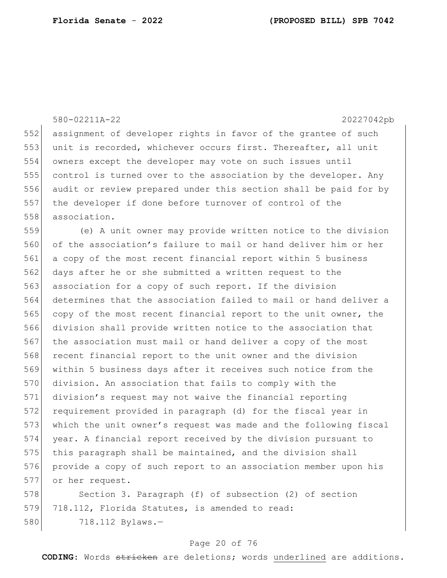580-02211A-22 20227042pb 552 assignment of developer rights in favor of the grantee of such unit is recorded, whichever occurs first. Thereafter, all unit owners except the developer may vote on such issues until 555 control is turned over to the association by the developer. Any audit or review prepared under this section shall be paid for by the developer if done before turnover of control of the 558 association. (e) A unit owner may provide written notice to the division of the association's failure to mail or hand deliver him or her a copy of the most recent financial report within 5 business days after he or she submitted a written request to the association for a copy of such report. If the division determines that the association failed to mail or hand deliver a copy of the most recent financial report to the unit owner, the division shall provide written notice to the association that 567 the association must mail or hand deliver a copy of the most 568 recent financial report to the unit owner and the division within 5 business days after it receives such notice from the 570 division. An association that fails to comply with the division's request may not waive the financial reporting requirement provided in paragraph (d) for the fiscal year in which the unit owner's request was made and the following fiscal year. A financial report received by the division pursuant to 575 this paragraph shall be maintained, and the division shall provide a copy of such report to an association member upon his or her request. 578 Section 3. Paragraph (f) of subsection (2) of section 579 718.112, Florida Statutes, is amended to read:

718.112 Bylaws.—

#### Page 20 of 76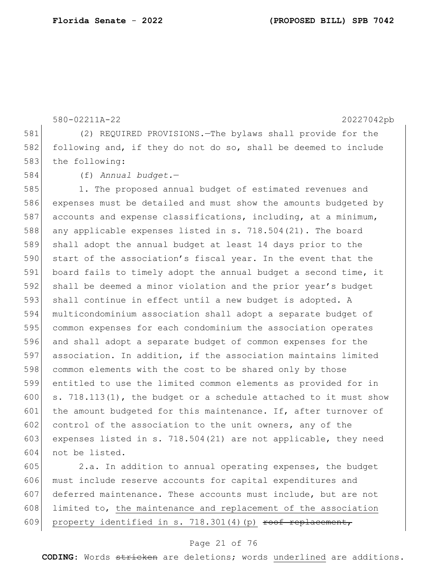580-02211A-22 20227042pb 581 (2) REQUIRED PROVISIONS.—The bylaws shall provide for the 582 following and, if they do not do so, shall be deemed to include 583 the following: 584 (f) *Annual budget.*— 585 1. The proposed annual budget of estimated revenues and 586 expenses must be detailed and must show the amounts budgeted by 587 accounts and expense classifications, including, at a minimum, 588 any applicable expenses listed in s. 718.504(21). The board 589 shall adopt the annual budget at least 14 days prior to the 590 start of the association's fiscal year. In the event that the 591 board fails to timely adopt the annual budget a second time, it 592 shall be deemed a minor violation and the prior year's budget 593 shall continue in effect until a new budget is adopted. A 594 multicondominium association shall adopt a separate budget of 595 common expenses for each condominium the association operates 596 and shall adopt a separate budget of common expenses for the 597 association. In addition, if the association maintains limited 598 common elements with the cost to be shared only by those 599 entitled to use the limited common elements as provided for in 600 s. 718.113(1), the budget or a schedule attached to it must show  $601$  the amount budgeted for this maintenance. If, after turnover of 602 control of the association to the unit owners, any of the 603 expenses listed in s. 718.504(21) are not applicable, they need 604 not be listed.

605 2.a. In addition to annual operating expenses, the budget 606 must include reserve accounts for capital expenditures and 607 deferred maintenance. These accounts must include, but are not  $608$  limited to, the maintenance and replacement of the association 609 property identified in s.  $718.301(4)$  (p) roof replacement,

#### Page 21 of 76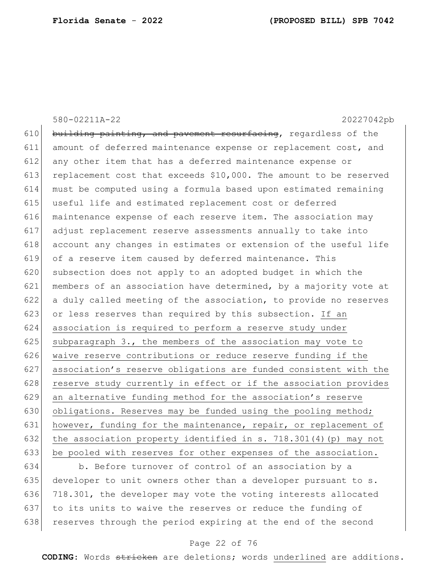580-02211A-22 20227042pb 610 building painting, and pavement resurfacing, regardless of the 611 amount of deferred maintenance expense or replacement cost, and 612 any other item that has a deferred maintenance expense or 613 replacement cost that exceeds  $$10,000$ . The amount to be reserved 614 must be computed using a formula based upon estimated remaining 615 useful life and estimated replacement cost or deferred 616 maintenance expense of each reserve item. The association may 617 adjust replacement reserve assessments annually to take into 618 account any changes in estimates or extension of the useful life 619 of a reserve item caused by deferred maintenance. This 620 subsection does not apply to an adopted budget in which the 621 members of an association have determined, by a majority vote at 622 a duly called meeting of the association, to provide no reserves 623 or less reserves than required by this subsection. If an 624 association is required to perform a reserve study under 625 subparagraph 3., the members of the association may vote to 626 waive reserve contributions or reduce reserve funding if the 627 association's reserve obligations are funded consistent with the 628 reserve study currently in effect or if the association provides 629 an alternative funding method for the association's reserve 630 obligations. Reserves may be funded using the pooling method; 631 however, funding for the maintenance, repair, or replacement of 632 the association property identified in s. 718.301(4)(p) may not 633 be pooled with reserves for other expenses of the association.

634 b. Before turnover of control of an association by a 635 developer to unit owners other than a developer pursuant to s. 636 718.301, the developer may vote the voting interests allocated 637 to its units to waive the reserves or reduce the funding of 638 reserves through the period expiring at the end of the second

## Page 22 of 76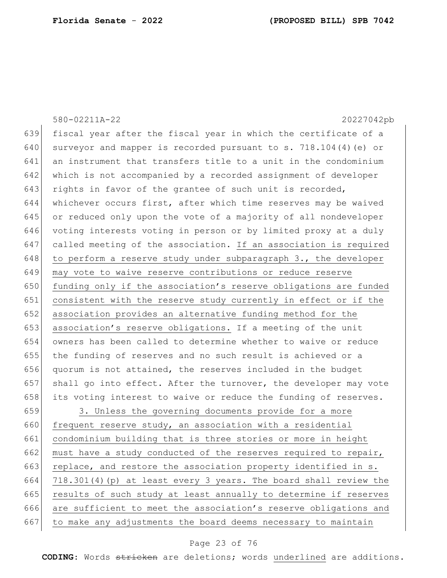|     | 580-02211A-22<br>20227042pb                                      |
|-----|------------------------------------------------------------------|
| 639 | fiscal year after the fiscal year in which the certificate of a  |
| 640 | surveyor and mapper is recorded pursuant to s. 718.104(4) (e) or |
| 641 | an instrument that transfers title to a unit in the condominium  |
| 642 | which is not accompanied by a recorded assignment of developer   |
| 643 | rights in favor of the grantee of such unit is recorded,         |
| 644 | whichever occurs first, after which time reserves may be waived  |
| 645 | or reduced only upon the vote of a majority of all nondeveloper  |
| 646 | voting interests voting in person or by limited proxy at a duly  |
| 647 | called meeting of the association. If an association is required |
| 648 | to perform a reserve study under subparagraph 3., the developer  |
| 649 | may vote to waive reserve contributions or reduce reserve        |
| 650 | funding only if the association's reserve obligations are funded |
| 651 | consistent with the reserve study currently in effect or if the  |
| 652 | association provides an alternative funding method for the       |
| 653 | association's reserve obligations. If a meeting of the unit      |
| 654 | owners has been called to determine whether to waive or reduce   |
| 655 | the funding of reserves and no such result is achieved or a      |
| 656 | quorum is not attained, the reserves included in the budget      |
| 657 | shall go into effect. After the turnover, the developer may vote |
| 658 | its voting interest to waive or reduce the funding of reserves.  |
| 659 | 3. Unless the governing documents provide for a more             |
| 660 | frequent reserve study, an association with a residential        |
| 661 | condominium building that is three stories or more in height     |
| 662 | must have a study conducted of the reserves required to repair,  |
| 663 | replace, and restore the association property identified in s.   |
| 664 | 718.301(4)(p) at least every 3 years. The board shall review the |
| 665 | results of such study at least annually to determine if reserves |
| 666 | are sufficient to meet the association's reserve obligations and |
| 667 | to make any adjustments the board deems necessary to maintain    |

# Page 23 of 76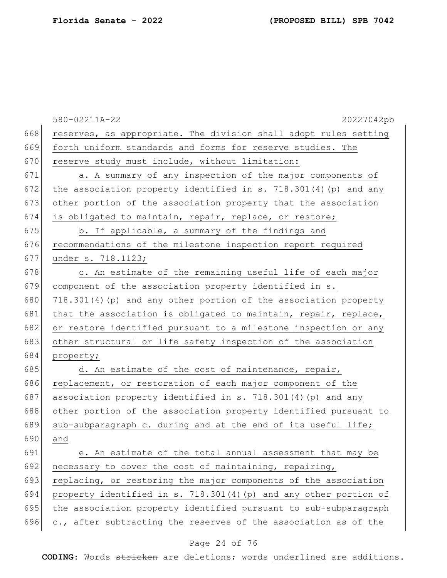|     | 20227042pb<br>580-02211A-22                                        |
|-----|--------------------------------------------------------------------|
| 668 | reserves, as appropriate. The division shall adopt rules setting   |
| 669 | forth uniform standards and forms for reserve studies. The         |
| 670 | reserve study must include, without limitation:                    |
| 671 | a. A summary of any inspection of the major components of          |
| 672 | the association property identified in s. $718.301(4)$ (p) and any |
| 673 | other portion of the association property that the association     |
| 674 | is obligated to maintain, repair, replace, or restore;             |
| 675 | b. If applicable, a summary of the findings and                    |
| 676 | recommendations of the milestone inspection report required        |
| 677 | under s. 718.1123;                                                 |
| 678 | c. An estimate of the remaining useful life of each major          |
| 679 | component of the association property identified in s.             |
| 680 | 718.301(4) (p) and any other portion of the association property   |
| 681 | that the association is obligated to maintain, repair, replace,    |
| 682 | or restore identified pursuant to a milestone inspection or any    |
| 683 | other structural or life safety inspection of the association      |
| 684 | property;                                                          |
| 685 | d. An estimate of the cost of maintenance, repair,                 |
| 686 | replacement, or restoration of each major component of the         |
| 687 | association property identified in s. 718.301(4) (p) and any       |
| 688 | other portion of the association property identified pursuant to   |
| 689 | sub-subparagraph c. during and at the end of its useful life;      |
| 690 | and                                                                |
| 691 | e. An estimate of the total annual assessment that may be          |
| 692 | necessary to cover the cost of maintaining, repairing,             |
| 693 | replacing, or restoring the major components of the association    |
| 694 | property identified in s. 718.301(4) (p) and any other portion of  |
| 695 | the association property identified pursuant to sub-subparagraph   |
| 696 | c., after subtracting the reserves of the association as of the    |

# Page 24 of 76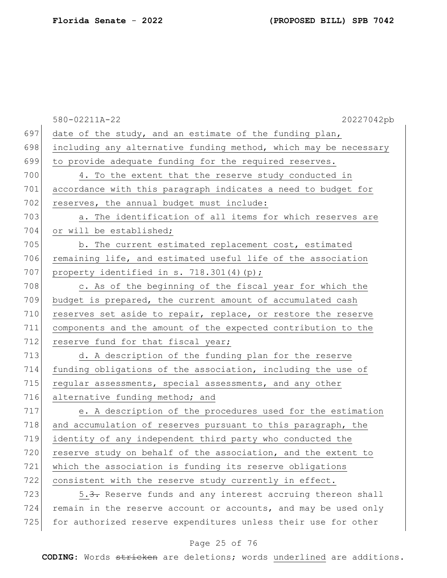|     | 20227042pb<br>580-02211A-22                                            |
|-----|------------------------------------------------------------------------|
| 697 | date of the study, and an estimate of the funding plan,                |
| 698 | including any alternative funding method, which may be necessary       |
| 699 | to provide adequate funding for the required reserves.                 |
| 700 | 4. To the extent that the reserve study conducted in                   |
| 701 | accordance with this paragraph indicates a need to budget for          |
| 702 | reserves, the annual budget must include:                              |
| 703 | a. The identification of all items for which reserves are              |
| 704 | or will be established;                                                |
| 705 | b. The current estimated replacement cost, estimated                   |
| 706 | remaining life, and estimated useful life of the association           |
| 707 | property identified in s. $718.301(4)(p)$ ;                            |
| 708 | c. As of the beginning of the fiscal year for which the                |
| 709 | budget is prepared, the current amount of accumulated cash             |
| 710 | reserves set aside to repair, replace, or restore the reserve          |
| 711 | components and the amount of the expected contribution to the          |
| 712 | reserve fund for that fiscal year;                                     |
| 713 | d. A description of the funding plan for the reserve                   |
| 714 | funding obligations of the association, including the use of           |
| 715 | regular assessments, special assessments, and any other                |
| 716 | alternative funding method; and                                        |
| 717 | e. A description of the procedures used for the estimation             |
| 718 | and accumulation of reserves pursuant to this paragraph, the           |
| 719 | identity of any independent third party who conducted the              |
| 720 | reserve study on behalf of the association, and the extent to          |
| 721 | which the association is funding its reserve obligations               |
| 722 | consistent with the reserve study currently in effect.                 |
| 723 | 5. <del>3.</del> Reserve funds and any interest accruing thereon shall |
| 724 | remain in the reserve account or accounts, and may be used only        |
| 725 | for authorized reserve expenditures unless their use for other         |

## Page 25 of 76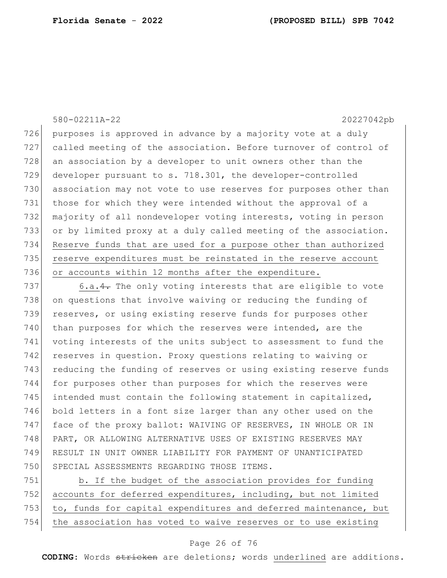580-02211A-22 20227042pb

726 purposes is approved in advance by a majority vote at a duly 727 called meeting of the association. Before turnover of control of 728 an association by a developer to unit owners other than the 729 developer pursuant to s. 718.301, the developer-controlled 730 association may not vote to use reserves for purposes other than 731 those for which they were intended without the approval of a 732 majority of all nondeveloper voting interests, voting in person 733 or by limited proxy at a duly called meeting of the association. 734 Reserve funds that are used for a purpose other than authorized 735 reserve expenditures must be reinstated in the reserve account 736 or accounts within 12 months after the expenditure.

737 6.a.  $\frac{4}{1}$  The only voting interests that are eligible to vote 738 on questions that involve waiving or reducing the funding of 739 reserves, or using existing reserve funds for purposes other 740 than purposes for which the reserves were intended, are the 741 voting interests of the units subject to assessment to fund the 742 reserves in question. Proxy questions relating to waiving or 743 reducing the funding of reserves or using existing reserve funds 744 for purposes other than purposes for which the reserves were 745 intended must contain the following statement in capitalized, 746 bold letters in a font size larger than any other used on the 747 face of the proxy ballot: WAIVING OF RESERVES, IN WHOLE OR IN 748 PART, OR ALLOWING ALTERNATIVE USES OF EXISTING RESERVES MAY 749 RESULT IN UNIT OWNER LIABILITY FOR PAYMENT OF UNANTICIPATED 750 SPECIAL ASSESSMENTS REGARDING THOSE ITEMS.

751 b. If the budget of the association provides for funding 752 accounts for deferred expenditures, including, but not limited 753 to, funds for capital expenditures and deferred maintenance, but 754 the association has voted to waive reserves or to use existing

## Page 26 of 76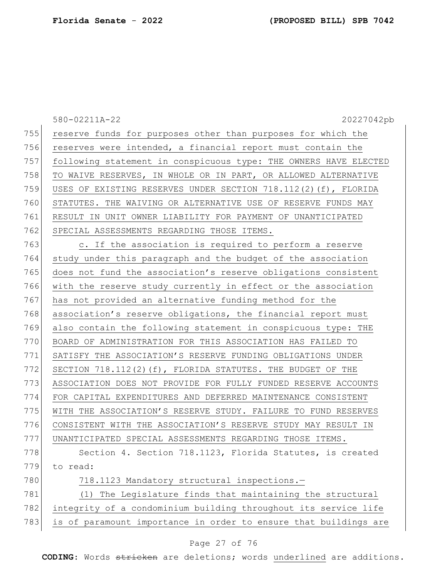|     | 580-02211A-22<br>20227042pb                                      |
|-----|------------------------------------------------------------------|
| 755 | reserve funds for purposes other than purposes for which the     |
| 756 | reserves were intended, a financial report must contain the      |
| 757 | following statement in conspicuous type: THE OWNERS HAVE ELECTED |
| 758 | TO WAIVE RESERVES, IN WHOLE OR IN PART, OR ALLOWED ALTERNATIVE   |
| 759 | USES OF EXISTING RESERVES UNDER SECTION 718.112(2)(f), FLORIDA   |
| 760 | STATUTES. THE WAIVING OR ALTERNATIVE USE OF RESERVE FUNDS MAY    |
| 761 | RESULT IN UNIT OWNER LIABILITY FOR PAYMENT OF UNANTICIPATED      |
| 762 | SPECIAL ASSESSMENTS REGARDING THOSE ITEMS.                       |
| 763 | c. If the association is required to perform a reserve           |
| 764 | study under this paragraph and the budget of the association     |
| 765 | does not fund the association's reserve obligations consistent   |
| 766 | with the reserve study currently in effect or the association    |
| 767 | has not provided an alternative funding method for the           |
| 768 | association's reserve obligations, the financial report must     |
| 769 | also contain the following statement in conspicuous type: THE    |
| 770 | BOARD OF ADMINISTRATION FOR THIS ASSOCIATION HAS FAILED TO       |
| 771 | SATISFY THE ASSOCIATION'S RESERVE FUNDING OBLIGATIONS UNDER      |
| 772 | SECTION 718.112(2)(f), FLORIDA STATUTES. THE BUDGET OF THE       |
| 773 | ASSOCIATION DOES NOT PROVIDE FOR FULLY FUNDED RESERVE ACCOUNTS   |
| 774 | FOR CAPITAL EXPENDITURES AND DEFERRED MAINTENANCE CONSISTENT     |
| 775 | WITH THE ASSOCIATION'S RESERVE STUDY. FAILURE TO FUND RESERVES   |
| 776 | CONSISTENT WITH THE ASSOCIATION'S RESERVE STUDY MAY RESULT IN    |
| 777 | UNANTICIPATED SPECIAL ASSESSMENTS REGARDING THOSE ITEMS.         |
| 778 | Section 4. Section 718.1123, Florida Statutes, is created        |
| 779 | to read:                                                         |
| 780 | 718.1123 Mandatory structural inspections.-                      |
| 781 | (1) The Legislature finds that maintaining the structural        |
| 782 | integrity of a condominium building throughout its service life  |
| 783 | is of paramount importance in order to ensure that buildings are |

# Page 27 of 76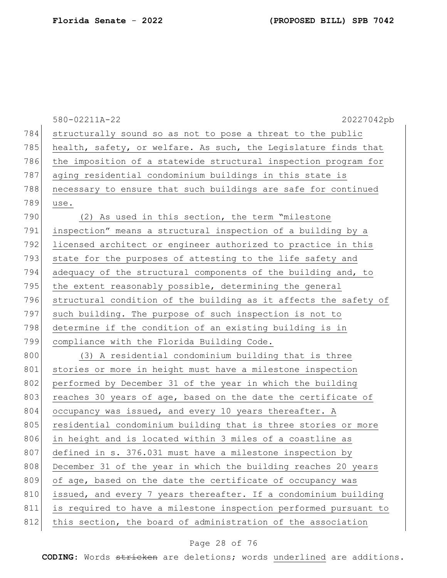|     | 20227042pb<br>580-02211A-22                                      |
|-----|------------------------------------------------------------------|
| 784 | structurally sound so as not to pose a threat to the public      |
| 785 | health, safety, or welfare. As such, the Legislature finds that  |
| 786 | the imposition of a statewide structural inspection program for  |
| 787 | aging residential condominium buildings in this state is         |
| 788 | necessary to ensure that such buildings are safe for continued   |
| 789 | use.                                                             |
| 790 | (2) As used in this section, the term "milestone                 |
| 791 | inspection" means a structural inspection of a building by a     |
| 792 | licensed architect or engineer authorized to practice in this    |
| 793 | state for the purposes of attesting to the life safety and       |
| 794 | adequacy of the structural components of the building and, to    |
| 795 | the extent reasonably possible, determining the general          |
| 796 | structural condition of the building as it affects the safety of |
| 797 | such building. The purpose of such inspection is not to          |
| 798 | determine if the condition of an existing building is in         |
| 799 | compliance with the Florida Building Code.                       |
| 800 | (3) A residential condominium building that is three             |
| 801 | stories or more in height must have a milestone inspection       |
| 802 | performed by December 31 of the year in which the building       |
| 803 | reaches 30 years of age, based on the date the certificate of    |
| 804 | occupancy was issued, and every 10 years thereafter. A           |
| 805 | residential condominium building that is three stories or more   |
| 806 | in height and is located within 3 miles of a coastline as        |
| 807 | defined in s. 376.031 must have a milestone inspection by        |
| 808 | December 31 of the year in which the building reaches 20 years   |
| 809 | of age, based on the date the certificate of occupancy was       |
| 810 | issued, and every 7 years thereafter. If a condominium building  |
| 811 | is required to have a milestone inspection performed pursuant to |
| 812 | this section, the board of administration of the association     |

# Page 28 of 76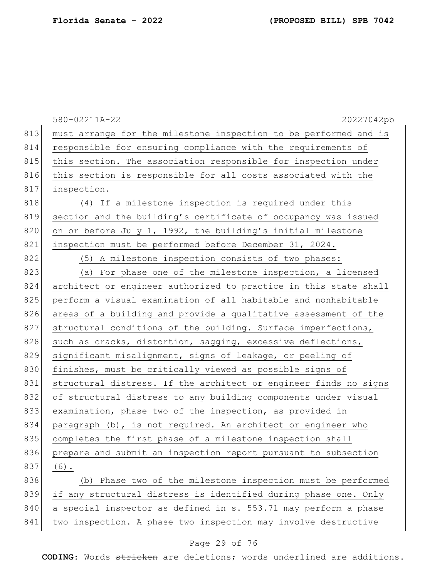|     | 580-02211A-22<br>20227042pb                                      |
|-----|------------------------------------------------------------------|
| 813 | must arrange for the milestone inspection to be performed and is |
| 814 | responsible for ensuring compliance with the requirements of     |
| 815 | this section. The association responsible for inspection under   |
| 816 | this section is responsible for all costs associated with the    |
| 817 | inspection.                                                      |
| 818 | (4) If a milestone inspection is required under this             |
| 819 | section and the building's certificate of occupancy was issued   |
| 820 | on or before July 1, 1992, the building's initial milestone      |
| 821 | inspection must be performed before December 31, 2024.           |
| 822 | (5) A milestone inspection consists of two phases:               |
| 823 | (a) For phase one of the milestone inspection, a licensed        |
| 824 | architect or engineer authorized to practice in this state shall |
| 825 | perform a visual examination of all habitable and nonhabitable   |
| 826 | areas of a building and provide a qualitative assessment of the  |
| 827 | structural conditions of the building. Surface imperfections,    |
| 828 | such as cracks, distortion, sagging, excessive deflections,      |
| 829 | significant misalignment, signs of leakage, or peeling of        |
| 830 | finishes, must be critically viewed as possible signs of         |
| 831 | structural distress. If the architect or engineer finds no signs |
| 832 | of structural distress to any building components under visual   |
| 833 | examination, phase two of the inspection, as provided in         |
| 834 | paragraph (b), is not required. An architect or engineer who     |
| 835 | completes the first phase of a milestone inspection shall        |
| 836 | prepare and submit an inspection report pursuant to subsection   |
| 837 | $(6)$ .                                                          |
| 838 | (b) Phase two of the milestone inspection must be performed      |
| 839 | if any structural distress is identified during phase one. Only  |
| 840 | a special inspector as defined in s. 553.71 may perform a phase  |
| 841 | two inspection. A phase two inspection may involve destructive   |

# Page 29 of 76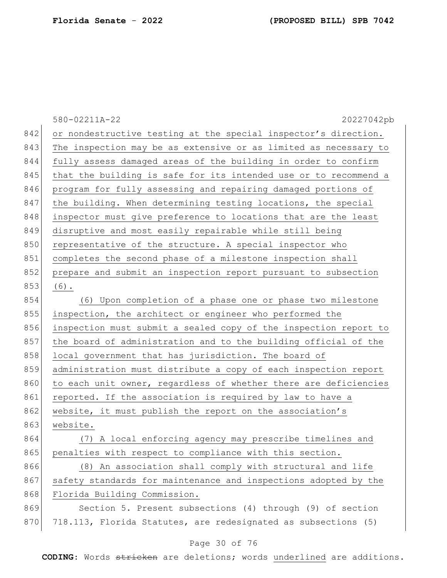|     | 580-02211A-22<br>20227042pb                                      |
|-----|------------------------------------------------------------------|
| 842 | or nondestructive testing at the special inspector's direction.  |
| 843 | The inspection may be as extensive or as limited as necessary to |
| 844 | fully assess damaged areas of the building in order to confirm   |
| 845 | that the building is safe for its intended use or to recommend a |
| 846 | program for fully assessing and repairing damaged portions of    |
| 847 | the building. When determining testing locations, the special    |
| 848 | inspector must give preference to locations that are the least   |
| 849 | disruptive and most easily repairable while still being          |
| 850 | representative of the structure. A special inspector who         |
| 851 | completes the second phase of a milestone inspection shall       |
| 852 | prepare and submit an inspection report pursuant to subsection   |
| 853 | $(6)$ .                                                          |
| 854 | (6) Upon completion of a phase one or phase two milestone        |
| 855 | inspection, the architect or engineer who performed the          |
| 856 | inspection must submit a sealed copy of the inspection report to |
| 857 | the board of administration and to the building official of the  |
| 858 | local government that has jurisdiction. The board of             |
| 859 | administration must distribute a copy of each inspection report  |
| 860 | to each unit owner, regardless of whether there are deficiencies |
| 861 | reported. If the association is required by law to have a        |
| 862 | website, it must publish the report on the association's         |
| 863 | website.                                                         |
| 864 | (7) A local enforcing agency may prescribe timelines and         |
| 865 | penalties with respect to compliance with this section.          |
| 866 | (8) An association shall comply with structural and life         |
| 867 | safety standards for maintenance and inspections adopted by the  |
| 868 | Florida Building Commission.                                     |
| 869 | Section 5. Present subsections (4) through (9) of section        |
| 870 | 718.113, Florida Statutes, are redesignated as subsections (5)   |

# Page 30 of 76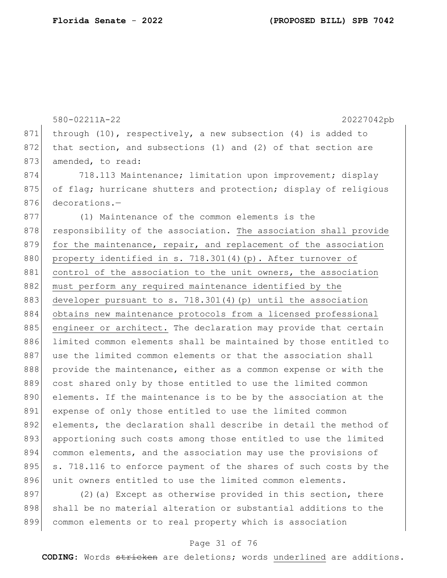580-02211A-22 20227042pb 871 through (10), respectively, a new subsection (4) is added to 872 that section, and subsections  $(1)$  and  $(2)$  of that section are 873 amended, to read: 874 718.113 Maintenance; limitation upon improvement; display 875 of flag; hurricane shutters and protection; display of religious 876 decorations.-877 (1) Maintenance of the common elements is the 878 responsibility of the association. The association shall provide 879 for the maintenance, repair, and replacement of the association 880 property identified in s. 718.301(4)(p). After turnover of 881 control of the association to the unit owners, the association 882 must perform any required maintenance identified by the 883 developer pursuant to s. 718.301(4)(p) until the association 884 obtains new maintenance protocols from a licensed professional 885 engineer or architect. The declaration may provide that certain 886 limited common elements shall be maintained by those entitled to 887 use the limited common elements or that the association shall 888 provide the maintenance, either as a common expense or with the 889 cost shared only by those entitled to use the limited common 890 elements. If the maintenance is to be by the association at the 891 expense of only those entitled to use the limited common 892 elements, the declaration shall describe in detail the method of 893 apportioning such costs among those entitled to use the limited 894 common elements, and the association may use the provisions of 895 s. 718.116 to enforce payment of the shares of such costs by the 896 unit owners entitled to use the limited common elements. 897 (2) (a) Except as otherwise provided in this section, there

898 shall be no material alteration or substantial additions to the 899 common elements or to real property which is association

## Page 31 of 76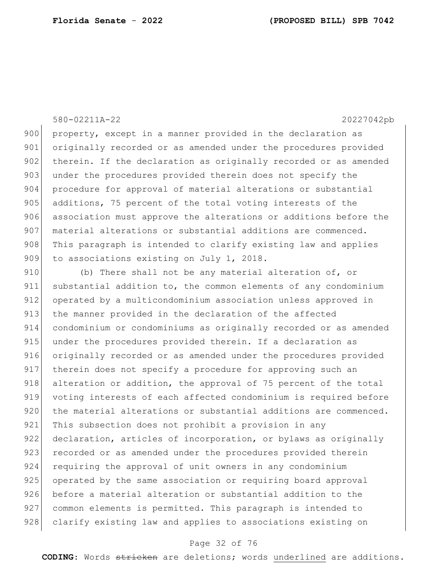## 580-02211A-22 20227042pb

900 property, except in a manner provided in the declaration as 901 originally recorded or as amended under the procedures provided 902 therein. If the declaration as originally recorded or as amended 903 under the procedures provided therein does not specify the 904 procedure for approval of material alterations or substantial 905 additions, 75 percent of the total voting interests of the 906 association must approve the alterations or additions before the 907 material alterations or substantial additions are commenced. 908 This paragraph is intended to clarify existing law and applies 909 to associations existing on July 1, 2018.

910 (b) There shall not be any material alteration of, or 911 substantial addition to, the common elements of any condominium 912 operated by a multicondominium association unless approved in 913 the manner provided in the declaration of the affected 914 condominium or condominiums as originally recorded or as amended 915 under the procedures provided therein. If a declaration as 916 originally recorded or as amended under the procedures provided 917 | therein does not specify a procedure for approving such an 918 alteration or addition, the approval of 75 percent of the total 919 voting interests of each affected condominium is required before 920 the material alterations or substantial additions are commenced. 921 This subsection does not prohibit a provision in any 922 declaration, articles of incorporation, or bylaws as originally 923 recorded or as amended under the procedures provided therein 924 requiring the approval of unit owners in any condominium 925 operated by the same association or requiring board approval 926 before a material alteration or substantial addition to the 927 common elements is permitted. This paragraph is intended to 928 clarify existing law and applies to associations existing on

## Page 32 of 76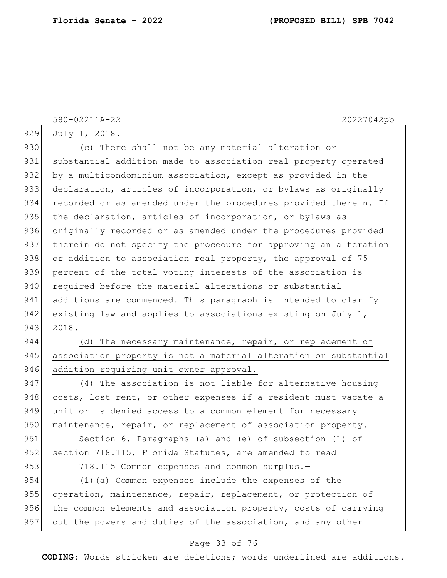580-02211A-22 20227042pb 929 July 1, 2018. 930 (c) There shall not be any material alteration or 931 substantial addition made to association real property operated 932 by a multicondominium association, except as provided in the 933 declaration, articles of incorporation, or bylaws as originally 934 recorded or as amended under the procedures provided therein. If 935 the declaration, articles of incorporation, or bylaws as 936 originally recorded or as amended under the procedures provided 937 therein do not specify the procedure for approving an alteration 938 or addition to association real property, the approval of 75 939 percent of the total voting interests of the association is 940 required before the material alterations or substantial 941 additions are commenced. This paragraph is intended to clarify 942 existing law and applies to associations existing on July 1, 943 2018.  $944$  (d) The necessary maintenance, repair, or replacement of 945 association property is not a material alteration or substantial 946 addition requiring unit owner approval. 947 (4) The association is not liable for alternative housing 948 costs, lost rent, or other expenses if a resident must vacate a 949 unit or is denied access to a common element for necessary

950 maintenance, repair, or replacement of association property.

951 Section 6. Paragraphs (a) and (e) of subsection (1) of 952 section 718.115, Florida Statutes, are amended to read

953 718.115 Common expenses and common surplus.-

954 (1)(a) Common expenses include the expenses of the 955 operation, maintenance, repair, replacement, or protection of 956 the common elements and association property, costs of carrying 957 out the powers and duties of the association, and any other

#### Page 33 of 76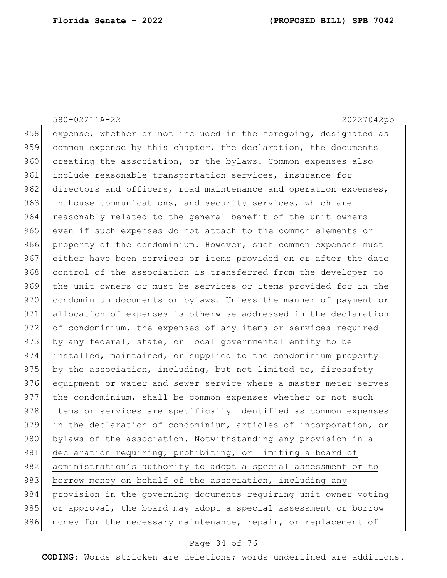580-02211A-22 20227042pb 958 expense, whether or not included in the foregoing, designated as 959 common expense by this chapter, the declaration, the documents 960 creating the association, or the bylaws. Common expenses also 961 include reasonable transportation services, insurance for 962 directors and officers, road maintenance and operation expenses, 963 in-house communications, and security services, which are 964 reasonably related to the general benefit of the unit owners 965 even if such expenses do not attach to the common elements or 966 property of the condominium. However, such common expenses must 967 either have been services or items provided on or after the date 968 control of the association is transferred from the developer to 969 the unit owners or must be services or items provided for in the 970 condominium documents or bylaws. Unless the manner of payment or 971 allocation of expenses is otherwise addressed in the declaration 972 of condominium, the expenses of any items or services required 973 by any federal, state, or local governmental entity to be 974 installed, maintained, or supplied to the condominium property 975 by the association, including, but not limited to, firesafety 976 equipment or water and sewer service where a master meter serves 977 the condominium, shall be common expenses whether or not such 978 items or services are specifically identified as common expenses 979 in the declaration of condominium, articles of incorporation, or 980 bylaws of the association. Notwithstanding any provision in a 981 declaration requiring, prohibiting, or limiting a board of 982 administration's authority to adopt a special assessment or to 983 borrow money on behalf of the association, including any 984 provision in the governing documents requiring unit owner voting 985 or approval, the board may adopt a special assessment or borrow 986 money for the necessary maintenance, repair, or replacement of

#### Page 34 of 76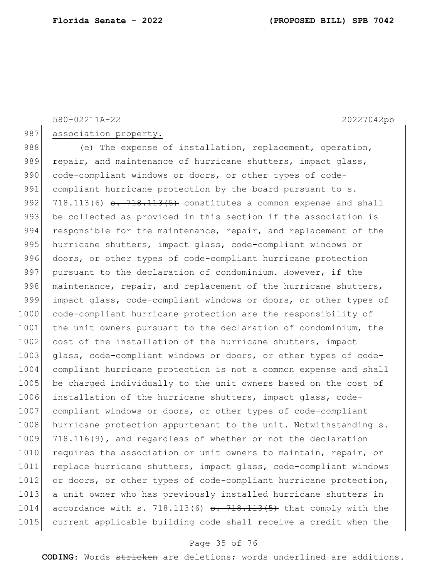580-02211A-22 20227042pb

987 association property.

988 (e) The expense of installation, replacement, operation, 989 repair, and maintenance of hurricane shutters, impact glass, 990 code-compliant windows or doors, or other types of code-991 compliant hurricane protection by the board pursuant to s. 992 718.113(6)  $\frac{1}{3}$ . 718.113(5) constitutes a common expense and shall 993 be collected as provided in this section if the association is 994 responsible for the maintenance, repair, and replacement of the 995 hurricane shutters, impact glass, code-compliant windows or 996 doors, or other types of code-compliant hurricane protection 997 pursuant to the declaration of condominium. However, if the 998 maintenance, repair, and replacement of the hurricane shutters, 999 impact glass, code-compliant windows or doors, or other types of 1000 code-compliant hurricane protection are the responsibility of 1001 the unit owners pursuant to the declaration of condominium, the 1002 cost of the installation of the hurricane shutters, impact 1003 glass, code-compliant windows or doors, or other types of code-1004 compliant hurricane protection is not a common expense and shall 1005 be charged individually to the unit owners based on the cost of 1006 installation of the hurricane shutters, impact glass, code-1007 compliant windows or doors, or other types of code-compliant 1008 hurricane protection appurtenant to the unit. Notwithstanding s. 1009 718.116(9), and regardless of whether or not the declaration 1010 requires the association or unit owners to maintain, repair, or 1011 replace hurricane shutters, impact glass, code-compliant windows 1012 or doors, or other types of code-compliant hurricane protection, 1013 a unit owner who has previously installed hurricane shutters in 1014 accordance with s. 718.113(6)  $\frac{13.113(5)}{13.113(5)}$  that comply with the 1015 current applicable building code shall receive a credit when the

#### Page 35 of 76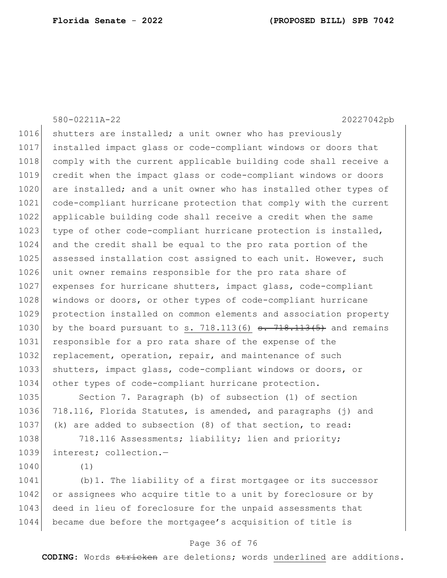580-02211A-22 20227042pb 1016 shutters are installed; a unit owner who has previously 1017 installed impact glass or code-compliant windows or doors that 1018 comply with the current applicable building code shall receive a 1019 credit when the impact glass or code-compliant windows or doors 1020 are installed; and a unit owner who has installed other types of 1021 code-compliant hurricane protection that comply with the current 1022 applicable building code shall receive a credit when the same 1023 type of other code-compliant hurricane protection is installed, 1024 and the credit shall be equal to the pro rata portion of the 1025 assessed installation cost assigned to each unit. However, such 1026 unit owner remains responsible for the pro rata share of 1027 expenses for hurricane shutters, impact glass, code-compliant 1028 | windows or doors, or other types of code-compliant hurricane 1029 protection installed on common elements and association property 1030 by the board pursuant to s.  $718.113(6)$  s.  $718.113(5)$  and remains 1031 responsible for a pro rata share of the expense of the 1032 replacement, operation, repair, and maintenance of such 1033 shutters, impact glass, code-compliant windows or doors, or 1034 other types of code-compliant hurricane protection. 1035 Section 7. Paragraph (b) of subsection (1) of section

1036 718.116, Florida Statutes, is amended, and paragraphs (j) and 1037 (k) are added to subsection (8) of that section, to read:

1038 718.116 Assessments; liability; lien and priority; 1039 interest; collection.—

1040 (1)

1041 (b)1. The liability of a first mortgagee or its successor 1042 or assignees who acquire title to a unit by foreclosure or by 1043 deed in lieu of foreclosure for the unpaid assessments that 1044 became due before the mortgagee's acquisition of title is

#### Page 36 of 76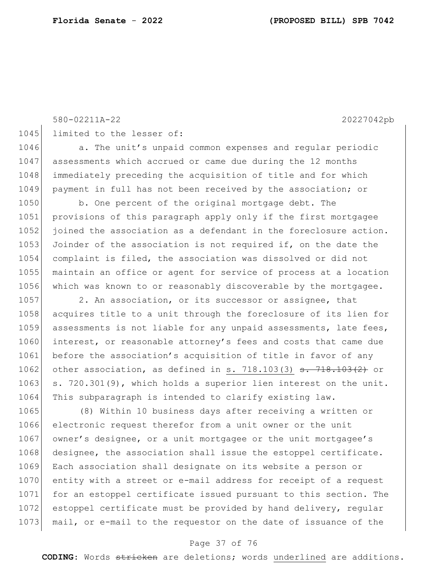580-02211A-22 20227042pb

1045 limited to the lesser of:

1046 **a.** The unit's unpaid common expenses and regular periodic 1047 assessments which accrued or came due during the 12 months 1048 immediately preceding the acquisition of title and for which 1049 payment in full has not been received by the association; or

1050 b. One percent of the original mortgage debt. The 1051 provisions of this paragraph apply only if the first mortgagee 1052 joined the association as a defendant in the foreclosure action. 1053 Joinder of the association is not required if, on the date the 1054 complaint is filed, the association was dissolved or did not 1055 maintain an office or agent for service of process at a location 1056 which was known to or reasonably discoverable by the mortgagee.

1057 2. An association, or its successor or assignee, that 1058 acquires title to a unit through the foreclosure of its lien for 1059 assessments is not liable for any unpaid assessments, late fees, 1060 interest, or reasonable attorney's fees and costs that came due 1061 before the association's acquisition of title in favor of any 1062 other association, as defined in s. 718.103(3)  $s. 718.103(2)$  or 1063 s. 720.301(9), which holds a superior lien interest on the unit. 1064 This subparagraph is intended to clarify existing law.

1065 (8) Within 10 business days after receiving a written or 1066 electronic request therefor from a unit owner or the unit 1067 owner's designee, or a unit mortgagee or the unit mortgagee's 1068 designee, the association shall issue the estoppel certificate. 1069 Each association shall designate on its website a person or 1070 entity with a street or e-mail address for receipt of a request 1071 for an estoppel certificate issued pursuant to this section. The 1072 estoppel certificate must be provided by hand delivery, regular 1073 mail, or e-mail to the requestor on the date of issuance of the

#### Page 37 of 76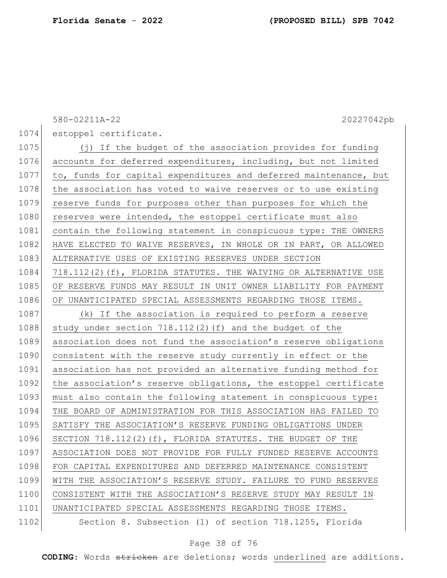580-02211A-22 20227042pb

1074 estoppel certificate.

1075 (j) If the budget of the association provides for funding 1076 accounts for deferred expenditures, including, but not limited 1077 to, funds for capital expenditures and deferred maintenance, but 1078 the association has voted to waive reserves or to use existing 1079 reserve funds for purposes other than purposes for which the 1080 reserves were intended, the estoppel certificate must also 1081 contain the following statement in conspicuous type: THE OWNERS 1082 HAVE ELECTED TO WAIVE RESERVES, IN WHOLE OR IN PART, OR ALLOWED 1083 ALTERNATIVE USES OF EXISTING RESERVES UNDER SECTION 1084 718.112(2)(f), FLORIDA STATUTES. THE WAIVING OR ALTERNATIVE USE 1085 OF RESERVE FUNDS MAY RESULT IN UNIT OWNER LIABILITY FOR PAYMENT 1086 OF UNANTICIPATED SPECIAL ASSESSMENTS REGARDING THOSE ITEMS. 1087 (k) If the association is required to perform a reserve 1088 study under section  $718.112(2)$  (f) and the budget of the 1089 association does not fund the association's reserve obligations 1090 consistent with the reserve study currently in effect or the 1091 association has not provided an alternative funding method for 1092 the association's reserve obligations, the estoppel certificate 1093 must also contain the following statement in conspicuous type: 1094 THE BOARD OF ADMINISTRATION FOR THIS ASSOCIATION HAS FAILED TO 1095 SATISFY THE ASSOCIATION'S RESERVE FUNDING OBLIGATIONS UNDER 1096 SECTION 718.112(2)(f), FLORIDA STATUTES. THE BUDGET OF THE 1097 ASSOCIATION DOES NOT PROVIDE FOR FULLY FUNDED RESERVE ACCOUNTS 1098 FOR CAPITAL EXPENDITURES AND DEFERRED MAINTENANCE CONSISTENT 1099 WITH THE ASSOCIATION'S RESERVE STUDY. FAILURE TO FUND RESERVES 1100 CONSISTENT WITH THE ASSOCIATION'S RESERVE STUDY MAY RESULT IN 1101 | UNANTICIPATED SPECIAL ASSESSMENTS REGARDING THOSE ITEMS. 1102 Section 8. Subsection (1) of section 718.1255, Florida

#### Page 38 of 76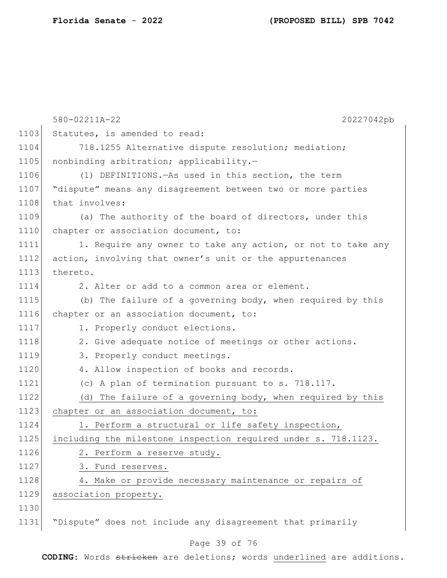|      | 580-02211A-22<br>20227042pb                                    |
|------|----------------------------------------------------------------|
| 1103 | Statutes, is amended to read:                                  |
| 1104 | 718.1255 Alternative dispute resolution; mediation;            |
| 1105 | nonbinding arbitration; applicability.-                        |
| 1106 | (1) DEFINITIONS. - As used in this section, the term           |
| 1107 | "dispute" means any disagreement between two or more parties   |
| 1108 | that involves:                                                 |
| 1109 | (a) The authority of the board of directors, under this        |
| 1110 | chapter or association document, to:                           |
| 1111 | 1. Require any owner to take any action, or not to take any    |
| 1112 | action, involving that owner's unit or the appurtenances       |
| 1113 | thereto.                                                       |
| 1114 | 2. Alter or add to a common area or element.                   |
| 1115 | (b) The failure of a governing body, when required by this     |
| 1116 | chapter or an association document, to:                        |
| 1117 | 1. Properly conduct elections.                                 |
| 1118 | 2. Give adequate notice of meetings or other actions.          |
| 1119 | 3. Properly conduct meetings.                                  |
| 1120 | 4. Allow inspection of books and records.                      |
| 1121 | (c) A plan of termination pursuant to s. 718.117.              |
| 1122 | (d) The failure of a governing body, when required by this     |
| 1123 | chapter or an association document, to:                        |
| 1124 | 1. Perform a structural or life safety inspection,             |
| 1125 | including the milestone inspection required under s. 718.1123. |
| 1126 | 2. Perform a reserve study.                                    |
| 1127 | 3. Fund reserves.                                              |
| 1128 | 4. Make or provide necessary maintenance or repairs of         |
| 1129 | association property.                                          |
| 1130 |                                                                |
| 1131 | "Dispute" does not include any disagreement that primarily     |
|      | Page 39 of 76                                                  |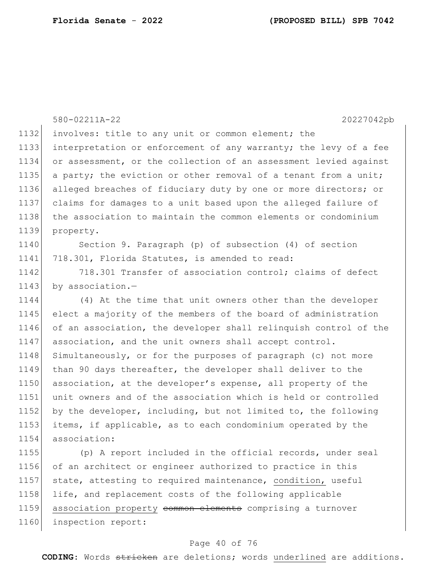|      | 20227042pb<br>580-02211A-22                                      |
|------|------------------------------------------------------------------|
| 1132 | involves: title to any unit or common element; the               |
| 1133 | interpretation or enforcement of any warranty; the levy of a fee |
| 1134 | or assessment, or the collection of an assessment levied against |
| 1135 | a party; the eviction or other removal of a tenant from a unit;  |
| 1136 | alleged breaches of fiduciary duty by one or more directors; or  |
| 1137 | claims for damages to a unit based upon the alleged failure of   |
| 1138 | the association to maintain the common elements or condominium   |
| 1139 | property.                                                        |
| 1140 | Section 9. Paragraph (p) of subsection (4) of section            |
| 1141 | 718.301, Florida Statutes, is amended to read:                   |
| 1142 | 718.301 Transfer of association control; claims of defect        |
| 1143 | by association.-                                                 |
| 1144 | (4) At the time that unit owners other than the developer        |
| 1145 | elect a majority of the members of the board of administration   |
| 1146 | of an association, the developer shall relinquish control of the |
| 1147 | association, and the unit owners shall accept control.           |
| 1148 | Simultaneously, or for the purposes of paragraph (c) not more    |
| 1149 | than 90 days thereafter, the developer shall deliver to the      |
| 1150 | association, at the developer's expense, all property of the     |
| 1151 | unit owners and of the association which is held or controlled   |
| 1152 | by the developer, including, but not limited to, the following   |
| 1153 | items, if applicable, as to each condominium operated by the     |
| 1154 | association:                                                     |
| 1155 | (p) A report included in the official records, under seal        |
| 1156 | of an architect or engineer authorized to practice in this       |
| 1157 | state, attesting to required maintenance, condition, useful      |
| 1158 | life, and replacement costs of the following applicable          |
| 1159 | association property common elements comprising a turnover       |
| 1160 | inspection report:                                               |

# Page 40 of 76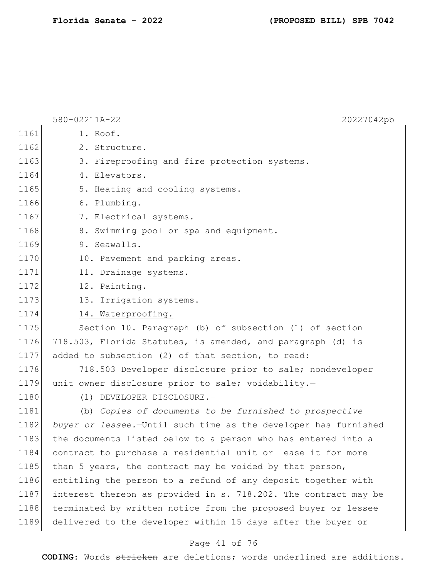|      | 580-02211A-22<br>20227042pb                                     |
|------|-----------------------------------------------------------------|
| 1161 | 1. Roof.                                                        |
| 1162 | 2. Structure.                                                   |
| 1163 | 3. Fireproofing and fire protection systems.                    |
| 1164 | 4. Elevators.                                                   |
| 1165 | 5. Heating and cooling systems.                                 |
| 1166 | 6. Plumbing.                                                    |
| 1167 | 7. Electrical systems.                                          |
| 1168 | 8. Swimming pool or spa and equipment.                          |
| 1169 | 9. Seawalls.                                                    |
| 1170 | 10. Pavement and parking areas.                                 |
| 1171 | 11. Drainage systems.                                           |
| 1172 | 12. Painting.                                                   |
| 1173 | 13. Irrigation systems.                                         |
| 1174 | 14. Waterproofing.                                              |
| 1175 | Section 10. Paragraph (b) of subsection (1) of section          |
| 1176 | 718.503, Florida Statutes, is amended, and paragraph (d) is     |
| 1177 | added to subsection (2) of that section, to read:               |
| 1178 | 718.503 Developer disclosure prior to sale; nondeveloper        |
| 1179 | unit owner disclosure prior to sale; voidability.-              |
| 1180 | (1) DEVELOPER DISCLOSURE.-                                      |
| 1181 | (b) Copies of documents to be furnished to prospective          |
| 1182 | buyer or lessee.-Until such time as the developer has furnished |
| 1183 | the documents listed below to a person who has entered into a   |
| 1184 | contract to purchase a residential unit or lease it for more    |
| 1185 | than 5 years, the contract may be voided by that person,        |
| 1186 | entitling the person to a refund of any deposit together with   |
| 1187 | interest thereon as provided in s. 718.202. The contract may be |
| 1188 | terminated by written notice from the proposed buyer or lessee  |
| 1189 | delivered to the developer within 15 days after the buyer or    |
|      |                                                                 |

# Page 41 of 76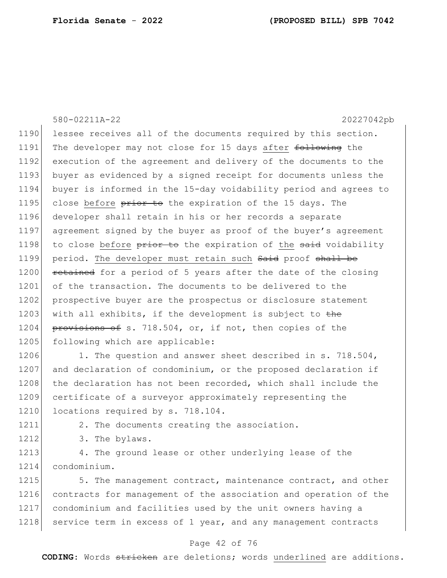580-02211A-22 20227042pb 1190 lessee receives all of the documents required by this section. 1191 The developer may not close for 15 days after following the 1192 execution of the agreement and delivery of the documents to the 1193 buyer as evidenced by a signed receipt for documents unless the 1194 buyer is informed in the 15-day voidability period and agrees to 1195 close before prior to the expiration of the 15 days. The 1196 developer shall retain in his or her records a separate 1197 agreement signed by the buyer as proof of the buyer's agreement 1198 to close before prior to the expiration of the said voidability 1199 period. The developer must retain such Said proof shall be 1200 retained for a period of 5 years after the date of the closing 1201 of the transaction. The documents to be delivered to the 1202 prospective buyer are the prospectus or disclosure statement 1203 with all exhibits, if the development is subject to the 1204 provisions of s. 718.504, or, if not, then copies of the 1205 following which are applicable: 1206 1. The question and answer sheet described in s. 718.504, 1207 and declaration of condominium, or the proposed declaration if

1208 the declaration has not been recorded, which shall include the 1209 certificate of a surveyor approximately representing the 1210 locations required by s. 718.104.

1211 2. The documents creating the association.

1212 3. The bylaws.

1213 4. The ground lease or other underlying lease of the 1214 condominium.

1215 5. The management contract, maintenance contract, and other 1216 contracts for management of the association and operation of the 1217 condominium and facilities used by the unit owners having a 1218 service term in excess of 1 year, and any management contracts

#### Page 42 of 76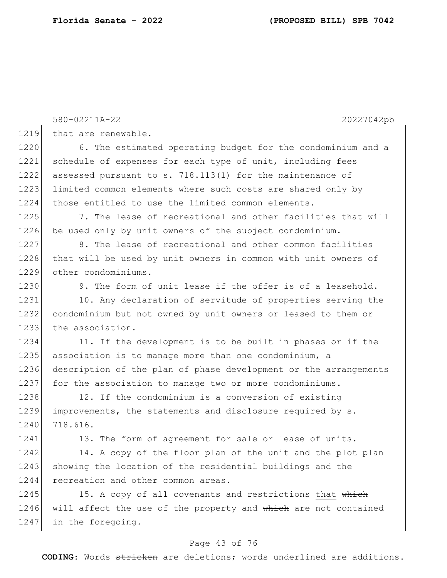580-02211A-22 20227042pb 1219 that are renewable. 1220 6. The estimated operating budget for the condominium and a 1221 schedule of expenses for each type of unit, including fees 1222| assessed pursuant to s. 718.113(1) for the maintenance of 1223 limited common elements where such costs are shared only by 1224 those entitled to use the limited common elements. 1225 7. The lease of recreational and other facilities that will 1226 be used only by unit owners of the subject condominium.  $1227$  8. The lease of recreational and other common facilities 1228 that will be used by unit owners in common with unit owners of 1229 other condominiums. 1230 9. The form of unit lease if the offer is of a leasehold. 1231 10. Any declaration of servitude of properties serving the 1232 condominium but not owned by unit owners or leased to them or 1233 the association. 1234 11. If the development is to be built in phases or if the 1235 association is to manage more than one condominium, a 1236 description of the plan of phase development or the arrangements 1237 for the association to manage two or more condominiums. 1238 12. If the condominium is a conversion of existing 1239 improvements, the statements and disclosure required by s. 1240 718.616. 1241 13. The form of agreement for sale or lease of units. 1242 14. A copy of the floor plan of the unit and the plot plan 1243 showing the location of the residential buildings and the 1244 recreation and other common areas. 1245 15. A copy of all covenants and restrictions that which 1246 will affect the use of the property and which are not contained 1247 in the foregoing.

#### Page 43 of 76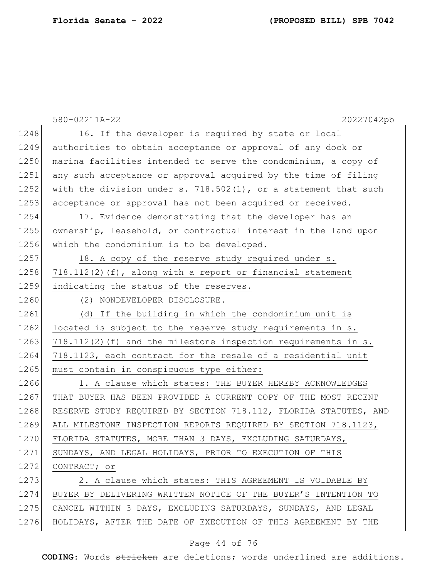|      | 580-02211A-22<br>20227042pb                                        |
|------|--------------------------------------------------------------------|
| 1248 | 16. If the developer is required by state or local                 |
| 1249 | authorities to obtain acceptance or approval of any dock or        |
| 1250 | marina facilities intended to serve the condominium, a copy of     |
| 1251 | any such acceptance or approval acquired by the time of filing     |
| 1252 | with the division under s. $718.502(1)$ , or a statement that such |
| 1253 | acceptance or approval has not been acquired or received.          |
| 1254 | 17. Evidence demonstrating that the developer has an               |
| 1255 | ownership, leasehold, or contractual interest in the land upon     |
| 1256 | which the condominium is to be developed.                          |
| 1257 | 18. A copy of the reserve study required under s.                  |
| 1258 | $718.112(2)$ (f), along with a report or financial statement       |
| 1259 | indicating the status of the reserves.                             |
| 1260 | (2) NONDEVELOPER DISCLOSURE.-                                      |
| 1261 | (d) If the building in which the condominium unit is               |
| 1262 | located is subject to the reserve study requirements in s.         |
| 1263 | $718.112(2)$ (f) and the milestone inspection requirements in s.   |
| 1264 | 718.1123, each contract for the resale of a residential unit       |
| 1265 | must contain in conspicuous type either:                           |
| 1266 | 1. A clause which states: THE BUYER HEREBY ACKNOWLEDGES            |
| 1267 | THAT BUYER HAS BEEN PROVIDED A CURRENT COPY OF THE MOST RECENT     |
| 1268 | RESERVE STUDY REQUIRED BY SECTION 718.112, FLORIDA STATUTES, AND   |
| 1269 | ALL MILESTONE INSPECTION REPORTS REQUIRED BY SECTION 718.1123,     |
| 1270 | FLORIDA STATUTES, MORE THAN 3 DAYS, EXCLUDING SATURDAYS,           |
| 1271 | SUNDAYS, AND LEGAL HOLIDAYS, PRIOR TO EXECUTION OF THIS            |
| 1272 | CONTRACT; or                                                       |
| 1273 | 2. A clause which states: THIS AGREEMENT IS VOIDABLE BY            |
| 1274 | BUYER BY DELIVERING WRITTEN NOTICE OF THE BUYER'S INTENTION TO     |
| 1275 | CANCEL WITHIN 3 DAYS, EXCLUDING SATURDAYS, SUNDAYS, AND LEGAL      |
| 1276 | HOLIDAYS, AFTER THE DATE OF EXECUTION OF THIS AGREEMENT BY THE     |

# Page 44 of 76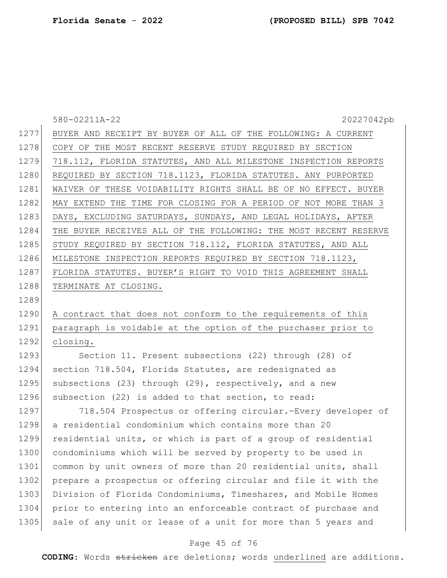|      | 580-02211A-22<br>20227042pb                                      |
|------|------------------------------------------------------------------|
| 1277 | BUYER AND RECEIPT BY BUYER OF ALL OF THE FOLLOWING: A CURRENT    |
| 1278 | COPY OF THE MOST RECENT RESERVE STUDY REQUIRED BY SECTION        |
| 1279 | 718.112, FLORIDA STATUTES, AND ALL MILESTONE INSPECTION REPORTS  |
| 1280 | REQUIRED BY SECTION 718.1123, FLORIDA STATUTES. ANY PURPORTED    |
| 1281 | WAIVER OF THESE VOIDABILITY RIGHTS SHALL BE OF NO EFFECT. BUYER  |
| 1282 | MAY EXTEND THE TIME FOR CLOSING FOR A PERIOD OF NOT MORE THAN 3  |
| 1283 | DAYS, EXCLUDING SATURDAYS, SUNDAYS, AND LEGAL HOLIDAYS, AFTER    |
| 1284 | THE BUYER RECEIVES ALL OF THE FOLLOWING: THE MOST RECENT RESERVE |
| 1285 | STUDY REQUIRED BY SECTION 718.112, FLORIDA STATUTES, AND ALL     |
| 1286 | MILESTONE INSPECTION REPORTS REQUIRED BY SECTION 718.1123,       |
| 1287 | FLORIDA STATUTES. BUYER'S RIGHT TO VOID THIS AGREEMENT SHALL     |
| 1288 | TERMINATE AT CLOSING.                                            |
| 1289 |                                                                  |
| 1290 | A contract that does not conform to the requirements of this     |
| 1291 | paragraph is voidable at the option of the purchaser prior to    |
| 1292 | closing.                                                         |
| 1293 | Section 11. Present subsections (22) through (28) of             |
| 1294 | section 718.504, Florida Statutes, are redesignated as           |
| 1295 | subsections (23) through (29), respectively, and a new           |
| 1296 | subsection (22) is added to that section, to read:               |
| 1297 | 718.504 Prospectus or offering circular. - Every developer of    |
| 1298 | a residential condominium which contains more than 20            |
| 1299 | residential units, or which is part of a group of residential    |
| 1300 | condominiums which will be served by property to be used in      |
| 1301 | common by unit owners of more than 20 residential units, shall   |
| 1302 | prepare a prospectus or offering circular and file it with the   |
| 1303 | Division of Florida Condominiums, Timeshares, and Mobile Homes   |
| 1304 | prior to entering into an enforceable contract of purchase and   |
| 1305 | sale of any unit or lease of a unit for more than 5 years and    |
|      |                                                                  |

# Page 45 of 76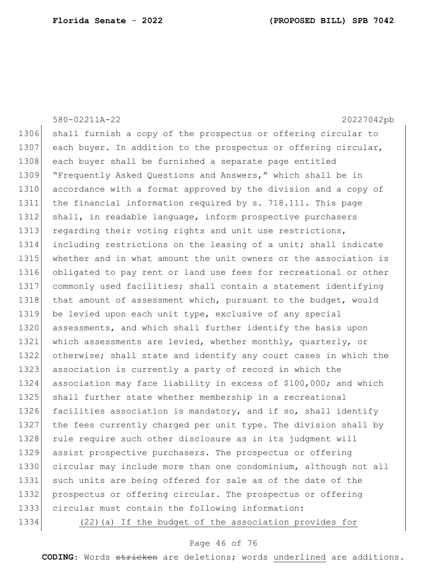|      | 580-02211A-22<br>20227042pb                                      |
|------|------------------------------------------------------------------|
| 1306 | shall furnish a copy of the prospectus or offering circular to   |
| 1307 | each buyer. In addition to the prospectus or offering circular,  |
| 1308 | each buyer shall be furnished a separate page entitled           |
| 1309 | "Frequently Asked Questions and Answers," which shall be in      |
| 1310 | accordance with a format approved by the division and a copy of  |
| 1311 | the financial information required by s. 718.111. This page      |
| 1312 | shall, in readable language, inform prospective purchasers       |
| 1313 | regarding their voting rights and unit use restrictions,         |
| 1314 | including restrictions on the leasing of a unit; shall indicate  |
| 1315 | whether and in what amount the unit owners or the association is |
| 1316 | obligated to pay rent or land use fees for recreational or other |
| 1317 | commonly used facilities; shall contain a statement identifying  |
| 1318 | that amount of assessment which, pursuant to the budget, would   |
| 1319 | be levied upon each unit type, exclusive of any special          |
| 1320 | assessments, and which shall further identify the basis upon     |
| 1321 | which assessments are levied, whether monthly, quarterly, or     |
| 1322 | otherwise; shall state and identify any court cases in which the |
| 1323 | association is currently a party of record in which the          |
| 1324 | association may face liability in excess of \$100,000; and which |
| 1325 | shall further state whether membership in a recreational         |
| 1326 | facilities association is mandatory, and if so, shall identify   |
| 1327 | the fees currently charged per unit type. The division shall by  |
| 1328 | rule require such other disclosure as in its judgment will       |
| 1329 | assist prospective purchasers. The prospectus or offering        |
| 1330 | circular may include more than one condominium, although not all |
| 1331 | such units are being offered for sale as of the date of the      |
| 1332 | prospectus or offering circular. The prospectus or offering      |
| 1333 | circular must contain the following information:                 |
| 1334 | (22) (a) If the budget of the association provides for           |

# Page 46 of 76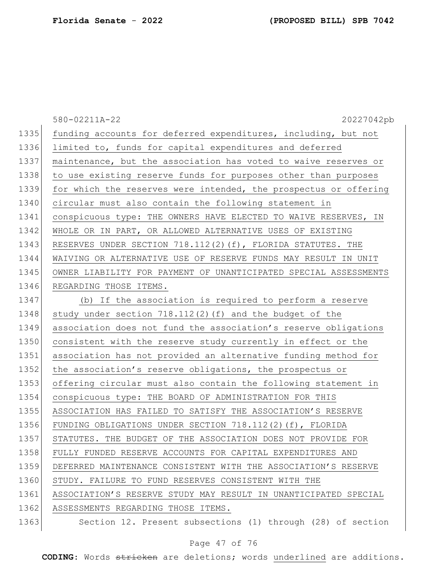|      | 580-02211A-22<br>20227042pb                                      |
|------|------------------------------------------------------------------|
| 1335 | funding accounts for deferred expenditures, including, but not   |
| 1336 | limited to, funds for capital expenditures and deferred          |
| 1337 | maintenance, but the association has voted to waive reserves or  |
| 1338 | to use existing reserve funds for purposes other than purposes   |
| 1339 | for which the reserves were intended, the prospectus or offering |
| 1340 | circular must also contain the following statement in            |
| 1341 | conspicuous type: THE OWNERS HAVE ELECTED TO WAIVE RESERVES, IN  |
| 1342 | WHOLE OR IN PART, OR ALLOWED ALTERNATIVE USES OF EXISTING        |
| 1343 | RESERVES UNDER SECTION 718.112(2)(f), FLORIDA STATUTES. THE      |
| 1344 | WAIVING OR ALTERNATIVE USE OF RESERVE FUNDS MAY RESULT IN UNIT   |
| 1345 | OWNER LIABILITY FOR PAYMENT OF UNANTICIPATED SPECIAL ASSESSMENTS |
| 1346 | REGARDING THOSE ITEMS.                                           |
| 1347 | (b) If the association is required to perform a reserve          |
| 1348 | study under section 718.112(2)(f) and the budget of the          |
| 1349 | association does not fund the association's reserve obligations  |
| 1350 | consistent with the reserve study currently in effect or the     |
| 1351 | association has not provided an alternative funding method for   |
| 1352 | the association's reserve obligations, the prospectus or         |
| 1353 | offering circular must also contain the following statement in   |
| 1354 | conspicuous type: THE BOARD OF ADMINISTRATION FOR THIS           |
| 1355 | ASSOCIATION HAS FAILED TO SATISFY THE ASSOCIATION'S RESERVE      |
| 1356 | FUNDING OBLIGATIONS UNDER SECTION 718.112(2)(f), FLORIDA         |
| 1357 | STATUTES. THE BUDGET OF THE ASSOCIATION DOES NOT PROVIDE FOR     |
| 1358 | FULLY FUNDED RESERVE ACCOUNTS FOR CAPITAL EXPENDITURES AND       |
| 1359 | DEFERRED MAINTENANCE CONSISTENT WITH THE ASSOCIATION'S RESERVE   |
| 1360 | STUDY. FAILURE TO FUND RESERVES CONSISTENT WITH THE              |
| 1361 | ASSOCIATION'S RESERVE STUDY MAY RESULT IN UNANTICIPATED SPECIAL  |
| 1362 | ASSESSMENTS REGARDING THOSE ITEMS.                               |
| 1363 | Section 12. Present subsections (1) through (28) of section      |

# Page 47 of 76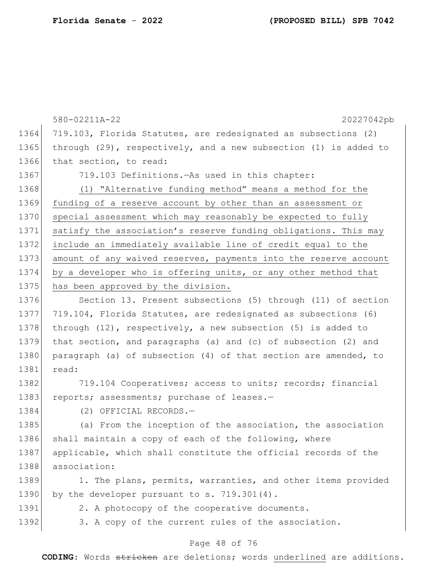|      | 580-02211A-22<br>20227042pb                                           |
|------|-----------------------------------------------------------------------|
| 1364 | 719.103, Florida Statutes, are redesignated as subsections (2)        |
| 1365 | through $(29)$ , respectively, and a new subsection $(1)$ is added to |
| 1366 | that section, to read:                                                |
| 1367 | 719.103 Definitions. - As used in this chapter:                       |
| 1368 | (1) "Alternative funding method" means a method for the               |
| 1369 | funding of a reserve account by other than an assessment or           |
| 1370 | special assessment which may reasonably be expected to fully          |
| 1371 | satisfy the association's reserve funding obligations. This may       |
| 1372 | include an immediately available line of credit equal to the          |
| 1373 | amount of any waived reserves, payments into the reserve account      |
| 1374 | by a developer who is offering units, or any other method that        |
| 1375 | has been approved by the division.                                    |
| 1376 | Section 13. Present subsections (5) through (11) of section           |
| 1377 | 719.104, Florida Statutes, are redesignated as subsections (6)        |
| 1378 | through $(12)$ , respectively, a new subsection $(5)$ is added to     |
| 1379 | that section, and paragraphs (a) and (c) of subsection (2) and        |
| 1380 | paragraph (a) of subsection (4) of that section are amended, to       |
| 1381 | read:                                                                 |
| 1382 | 719.104 Cooperatives; access to units; records; financial             |
| 1383 | reports; assessments; purchase of leases.-                            |
| 1384 | (2) OFFICIAL RECORDS.-                                                |
| 1385 | (a) From the inception of the association, the association            |
| 1386 | shall maintain a copy of each of the following, where                 |
| 1387 | applicable, which shall constitute the official records of the        |
| 1388 | association:                                                          |
| 1389 | 1. The plans, permits, warranties, and other items provided           |
| 1390 | by the developer pursuant to s. 719.301(4).                           |
| 1391 | 2. A photocopy of the cooperative documents.                          |
| 1392 | 3. A copy of the current rules of the association.                    |
|      |                                                                       |

# Page 48 of 76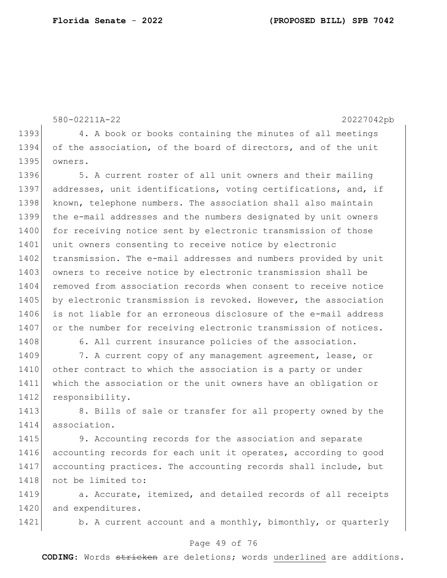580-02211A-22 20227042pb 1393 4. A book or books containing the minutes of all meetings 1394 of the association, of the board of directors, and of the unit 1395 owners. 1396 5. A current roster of all unit owners and their mailing 1397 addresses, unit identifications, voting certifications, and, if 1398 known, telephone numbers. The association shall also maintain 1399 the e-mail addresses and the numbers designated by unit owners 1400 for receiving notice sent by electronic transmission of those 1401 unit owners consenting to receive notice by electronic 1402 transmission. The e-mail addresses and numbers provided by unit 1403 owners to receive notice by electronic transmission shall be 1404 removed from association records when consent to receive notice 1405 by electronic transmission is revoked. However, the association 1406 is not liable for an erroneous disclosure of the e-mail address 1407 or the number for receiving electronic transmission of notices. 1408 6. All current insurance policies of the association. 1409 7. A current copy of any management agreement, lease, or 1410 other contract to which the association is a party or under 1411 which the association or the unit owners have an obligation or 1412 responsibility. 1413 8. Bills of sale or transfer for all property owned by the 1414 association. 1415 9. Accounting records for the association and separate 1416 accounting records for each unit it operates, according to good 1417 accounting practices. The accounting records shall include, but 1418 not be limited to:

1419 **a.** Accurate, itemized, and detailed records of all receipts 1420 and expenditures.

1421 b. A current account and a monthly, bimonthly, or quarterly

### Page 49 of 76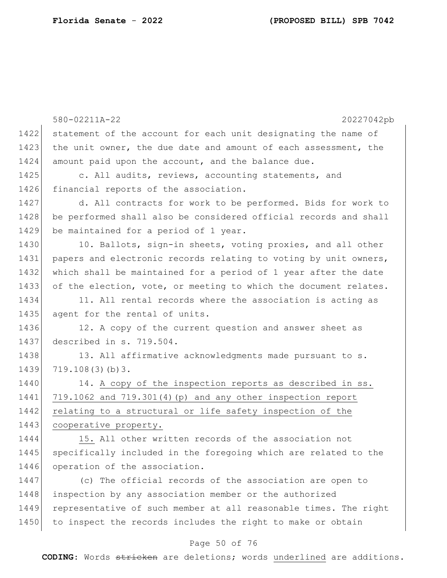|      | 580-02211A-22<br>20227042pb                                      |
|------|------------------------------------------------------------------|
| 1422 | statement of the account for each unit designating the name of   |
| 1423 | the unit owner, the due date and amount of each assessment, the  |
| 1424 | amount paid upon the account, and the balance due.               |
| 1425 | c. All audits, reviews, accounting statements, and               |
| 1426 | financial reports of the association.                            |
| 1427 | d. All contracts for work to be performed. Bids for work to      |
| 1428 | be performed shall also be considered official records and shall |
| 1429 | be maintained for a period of 1 year.                            |
| 1430 | 10. Ballots, sign-in sheets, voting proxies, and all other       |
| 1431 | papers and electronic records relating to voting by unit owners, |
| 1432 | which shall be maintained for a period of 1 year after the date  |
| 1433 | of the election, vote, or meeting to which the document relates. |
| 1434 | 11. All rental records where the association is acting as        |
| 1435 | agent for the rental of units.                                   |
| 1436 | 12. A copy of the current question and answer sheet as           |
| 1437 | described in s. 719.504.                                         |
| 1438 | 13. All affirmative acknowledgments made pursuant to s.          |
| 1439 | 719.108(3)(b)3.                                                  |
| 1440 | 14. A copy of the inspection reports as described in ss.         |
| 1441 | $719.1062$ and $719.301(4)$ (p) and any other inspection report  |
| 1442 | relating to a structural or life safety inspection of the        |
| 1443 | cooperative property.                                            |
| 1444 | 15. All other written records of the association not             |
| 1445 | specifically included in the foregoing which are related to the  |
| 1446 | operation of the association.                                    |
| 1447 | (c) The official records of the association are open to          |
| 1448 | inspection by any association member or the authorized           |
| 1449 | representative of such member at all reasonable times. The right |
| 1450 | to inspect the records includes the right to make or obtain      |

# Page 50 of 76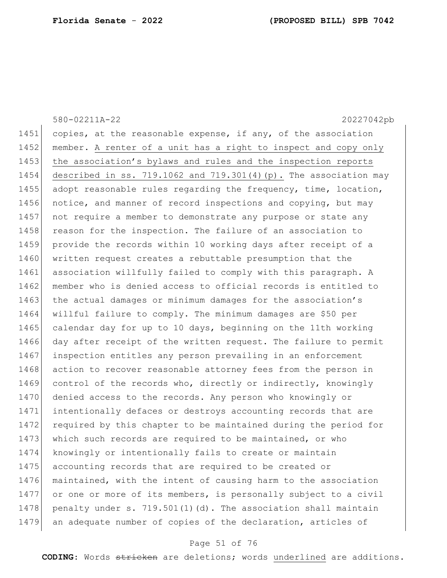|      | 580-02211A-22<br>20227042pb                                           |
|------|-----------------------------------------------------------------------|
| 1451 | copies, at the reasonable expense, if any, of the association         |
| 1452 | member. A renter of a unit has a right to inspect and copy only       |
| 1453 | the association's bylaws and rules and the inspection reports         |
| 1454 | described in ss. $719.1062$ and $719.301(4)(p)$ . The association may |
| 1455 | adopt reasonable rules regarding the frequency, time, location,       |
| 1456 | notice, and manner of record inspections and copying, but may         |
| 1457 | not require a member to demonstrate any purpose or state any          |
| 1458 | reason for the inspection. The failure of an association to           |
| 1459 | provide the records within 10 working days after receipt of a         |
| 1460 | written request creates a rebuttable presumption that the             |
| 1461 | association willfully failed to comply with this paragraph. A         |
| 1462 | member who is denied access to official records is entitled to        |
| 1463 | the actual damages or minimum damages for the association's           |
| 1464 | willful failure to comply. The minimum damages are \$50 per           |
| 1465 | calendar day for up to 10 days, beginning on the 11th working         |
| 1466 | day after receipt of the written request. The failure to permit       |
| 1467 | inspection entitles any person prevailing in an enforcement           |
| 1468 | action to recover reasonable attorney fees from the person in         |
| 1469 | control of the records who, directly or indirectly, knowingly         |
| 1470 | denied access to the records. Any person who knowingly or             |
| 1471 | intentionally defaces or destroys accounting records that are         |
| 1472 | required by this chapter to be maintained during the period for       |
| 1473 | which such records are required to be maintained, or who              |
| 1474 | knowingly or intentionally fails to create or maintain                |
| 1475 | accounting records that are required to be created or                 |
| 1476 | maintained, with the intent of causing harm to the association        |
| 1477 | or one or more of its members, is personally subject to a civil       |
| 1478 | penalty under s. 719.501(1)(d). The association shall maintain        |
| 1479 | an adequate number of copies of the declaration, articles of          |

# Page 51 of 76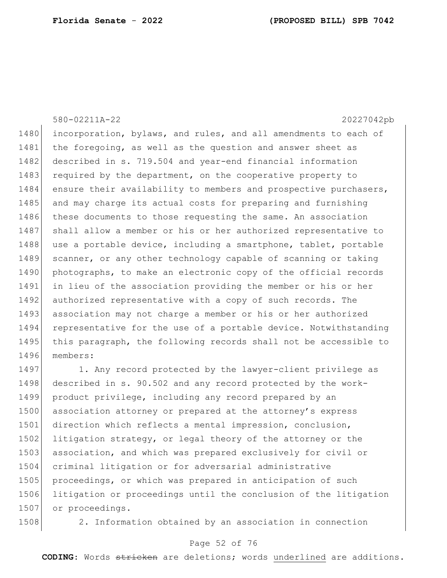580-02211A-22 20227042pb

1480 incorporation, bylaws, and rules, and all amendments to each of 1481 the foregoing, as well as the question and answer sheet as 1482 described in s. 719.504 and year-end financial information 1483 required by the department, on the cooperative property to 1484 ensure their availability to members and prospective purchasers, 1485 and may charge its actual costs for preparing and furnishing 1486 these documents to those requesting the same. An association 1487 | shall allow a member or his or her authorized representative to 1488 use a portable device, including a smartphone, tablet, portable 1489 scanner, or any other technology capable of scanning or taking 1490 photographs, to make an electronic copy of the official records 1491 in lieu of the association providing the member or his or her 1492 authorized representative with a copy of such records. The 1493 association may not charge a member or his or her authorized 1494 representative for the use of a portable device. Notwithstanding 1495 this paragraph, the following records shall not be accessible to 1496 members:

1497 1. Any record protected by the lawyer-client privilege as 1498 described in s. 90.502 and any record protected by the work-1499 product privilege, including any record prepared by an 1500 association attorney or prepared at the attorney's express 1501 direction which reflects a mental impression, conclusion, 1502 litigation strategy, or legal theory of the attorney or the 1503 association, and which was prepared exclusively for civil or 1504 criminal litigation or for adversarial administrative 1505 proceedings, or which was prepared in anticipation of such 1506 litigation or proceedings until the conclusion of the litigation 1507 or proceedings.

1508 2. Information obtained by an association in connection

### Page 52 of 76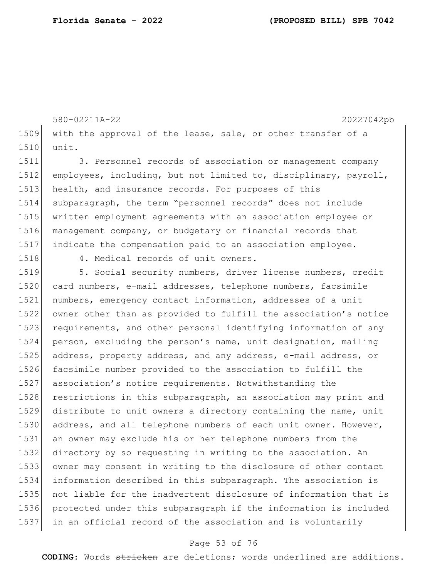580-02211A-22 20227042pb with the approval of the lease, sale, or other transfer of a unit. 3. Personnel records of association or management company employees, including, but not limited to, disciplinary, payroll, 1513 health, and insurance records. For purposes of this subparagraph, the term "personnel records" does not include

 written employment agreements with an association employee or management company, or budgetary or financial records that indicate the compensation paid to an association employee.

1518 4. Medical records of unit owners.

1519 5. Social security numbers, driver license numbers, credit 1520 card numbers, e-mail addresses, telephone numbers, facsimile numbers, emergency contact information, addresses of a unit owner other than as provided to fulfill the association's notice 1523 requirements, and other personal identifying information of any person, excluding the person's name, unit designation, mailing 1525 address, property address, and any address, e-mail address, or facsimile number provided to the association to fulfill the association's notice requirements. Notwithstanding the 1528 restrictions in this subparagraph, an association may print and 1529 distribute to unit owners a directory containing the name, unit 1530 address, and all telephone numbers of each unit owner. However, an owner may exclude his or her telephone numbers from the directory by so requesting in writing to the association. An owner may consent in writing to the disclosure of other contact information described in this subparagraph. The association is not liable for the inadvertent disclosure of information that is protected under this subparagraph if the information is included in an official record of the association and is voluntarily

### Page 53 of 76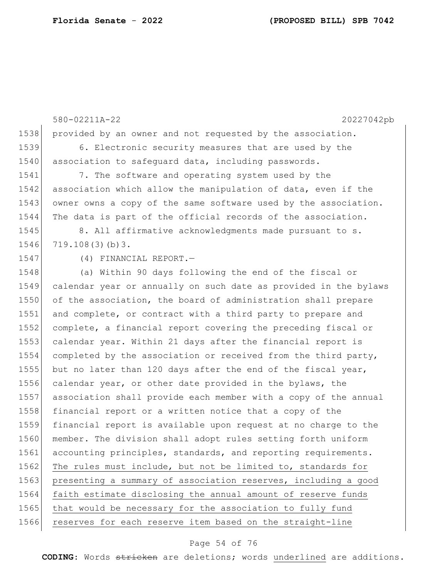580-02211A-22 20227042pb 1538 provided by an owner and not requested by the association. 1539 6. Electronic security measures that are used by the 1540 association to safequard data, including passwords. 1541 7. The software and operating system used by the 1542 association which allow the manipulation of data, even if the 1543 owner owns a copy of the same software used by the association. 1544 The data is part of the official records of the association. 1545 8. All affirmative acknowledgments made pursuant to s. 1546 719.108(3)(b)3. 1547 (4) FINANCIAL REPORT.— 1548 (a) Within 90 days following the end of the fiscal or 1549 calendar year or annually on such date as provided in the bylaws 1550 of the association, the board of administration shall prepare 1551 and complete, or contract with a third party to prepare and 1552 complete, a financial report covering the preceding fiscal or 1553 calendar year. Within 21 days after the financial report is 1554 completed by the association or received from the third party, 1555 but no later than 120 days after the end of the fiscal year, 1556 calendar year, or other date provided in the bylaws, the 1557 association shall provide each member with a copy of the annual 1558 financial report or a written notice that a copy of the 1559 financial report is available upon request at no charge to the 1560 member. The division shall adopt rules setting forth uniform 1561 accounting principles, standards, and reporting requirements. 1562 The rules must include, but not be limited to, standards for 1563 presenting a summary of association reserves, including a good 1564 faith estimate disclosing the annual amount of reserve funds 1565 that would be necessary for the association to fully fund 1566 reserves for each reserve item based on the straight-line

#### Page 54 of 76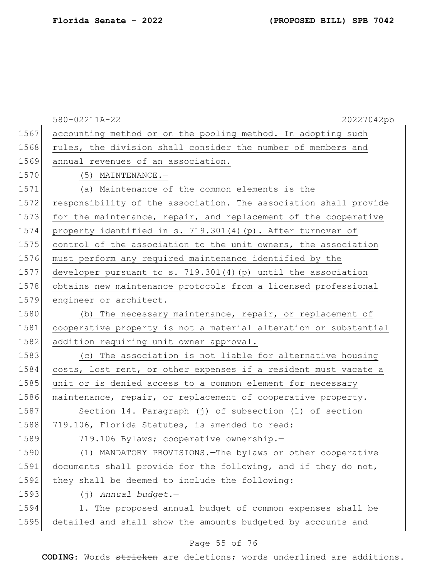|      | 580-02211A-22<br>20227042pb                                      |
|------|------------------------------------------------------------------|
| 1567 | accounting method or on the pooling method. In adopting such     |
| 1568 | rules, the division shall consider the number of members and     |
| 1569 | annual revenues of an association.                               |
| 1570 | (5) MAINTENANCE.-                                                |
| 1571 | (a) Maintenance of the common elements is the                    |
| 1572 | responsibility of the association. The association shall provide |
| 1573 | for the maintenance, repair, and replacement of the cooperative  |
| 1574 | property identified in s. 719.301(4)(p). After turnover of       |
| 1575 | control of the association to the unit owners, the association   |
| 1576 | must perform any required maintenance identified by the          |
| 1577 | developer pursuant to s. $719.301(4)$ (p) until the association  |
| 1578 | obtains new maintenance protocols from a licensed professional   |
| 1579 | engineer or architect.                                           |
| 1580 | (b) The necessary maintenance, repair, or replacement of         |
| 1581 | cooperative property is not a material alteration or substantial |
| 1582 | addition requiring unit owner approval.                          |
| 1583 | (c) The association is not liable for alternative housing        |
| 1584 | costs, lost rent, or other expenses if a resident must vacate a  |
| 1585 | unit or is denied access to a common element for necessary       |
| 1586 | maintenance, repair, or replacement of cooperative property.     |
| 1587 | Section 14. Paragraph (j) of subsection (1) of section           |
| 1588 | 719.106, Florida Statutes, is amended to read:                   |
| 1589 | 719.106 Bylaws; cooperative ownership.-                          |
| 1590 | (1) MANDATORY PROVISIONS. The bylaws or other cooperative        |
| 1591 | documents shall provide for the following, and if they do not,   |
| 1592 | they shall be deemed to include the following:                   |
| 1593 | (j) Annual budget.-                                              |
| 1594 | 1. The proposed annual budget of common expenses shall be        |
| 1595 | detailed and shall show the amounts budgeted by accounts and     |
|      |                                                                  |

# Page 55 of 76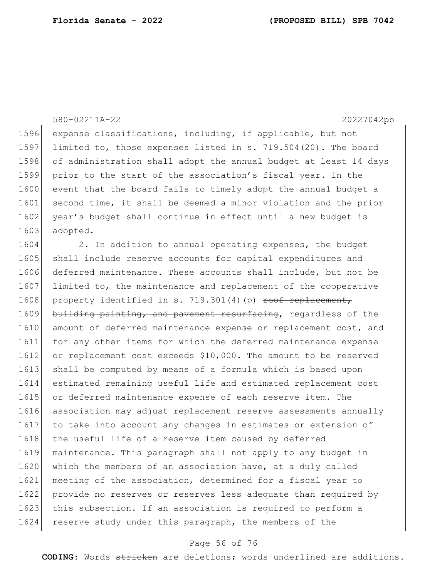|      | 580-02211A-22<br>20227042pb                                      |
|------|------------------------------------------------------------------|
| 1596 | expense classifications, including, if applicable, but not       |
| 1597 | limited to, those expenses listed in s. 719.504(20). The board   |
| 1598 | of administration shall adopt the annual budget at least 14 days |
| 1599 | prior to the start of the association's fiscal year. In the      |
| 1600 | event that the board fails to timely adopt the annual budget a   |
| 1601 | second time, it shall be deemed a minor violation and the prior  |
| 1602 | year's budget shall continue in effect until a new budget is     |
| 1603 | adopted.                                                         |
| 1604 | 2. In addition to annual operating expenses, the budget          |
| 1605 | shall include reserve accounts for capital expenditures and      |
| 1606 | deferred maintenance. These accounts shall include, but not be   |
| 1607 | limited to, the maintenance and replacement of the cooperative   |
| 1608 | property identified in s. 719.301(4)(p) roof replacement,        |
| 1609 | building painting, and pavement resurfacing, regardless of the   |
| 1610 | amount of deferred maintenance expense or replacement cost, and  |
| 1611 | for any other items for which the deferred maintenance expense   |
| 1612 | or replacement cost exceeds \$10,000. The amount to be reserved  |
| 1613 | shall be computed by means of a formula which is based upon      |
| 1614 | estimated remaining useful life and estimated replacement cost   |
| 1615 | or deferred maintenance expense of each reserve item. The        |
| 1616 | association may adjust replacement reserve assessments annually  |
| 1617 | to take into account any changes in estimates or extension of    |
| 1618 | the useful life of a reserve item caused by deferred             |
| 1619 | maintenance. This paragraph shall not apply to any budget in     |
| 1620 | which the members of an association have, at a duly called       |
| 1621 | meeting of the association, determined for a fiscal year to      |
| 1622 | provide no reserves or reserves less adequate than required by   |
| 1623 | this subsection. If an association is required to perform a      |
| 1624 | reserve study under this paragraph, the members of the           |

# Page 56 of 76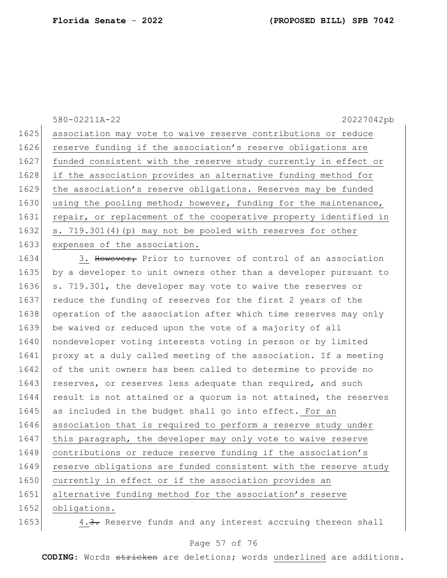|      | 580-02211A-22<br>20227042pb                                      |
|------|------------------------------------------------------------------|
| 1625 | association may vote to waive reserve contributions or reduce    |
| 1626 | reserve funding if the association's reserve obligations are     |
| 1627 | funded consistent with the reserve study currently in effect or  |
| 1628 | if the association provides an alternative funding method for    |
| 1629 | the association's reserve obligations. Reserves may be funded    |
| 1630 | using the pooling method; however, funding for the maintenance,  |
| 1631 | repair, or replacement of the cooperative property identified in |
| 1632 | s. 719.301(4) (p) may not be pooled with reserves for other      |
| 1633 | expenses of the association.                                     |

1634 3. However, Prior to turnover of control of an association 1635 by a developer to unit owners other than a developer pursuant to 1636 s. 719.301, the developer may vote to waive the reserves or 1637 reduce the funding of reserves for the first 2 years of the 1638 operation of the association after which time reserves may only 1639 be waived or reduced upon the vote of a majority of all 1640 nondeveloper voting interests voting in person or by limited 1641 proxy at a duly called meeting of the association. If a meeting 1642 of the unit owners has been called to determine to provide no 1643 reserves, or reserves less adequate than required, and such 1644 result is not attained or a quorum is not attained, the reserves 1645 as included in the budget shall go into effect. For an 1646 association that is required to perform a reserve study under 1647 this paragraph, the developer may only vote to waive reserve 1648 contributions or reduce reserve funding if the association's 1649 reserve obligations are funded consistent with the reserve study 1650 currently in effect or if the association provides an 1651 alternative funding method for the association's reserve 1652 obligations.

1653 4.3. Reserve funds and any interest accruing thereon shall

### Page 57 of 76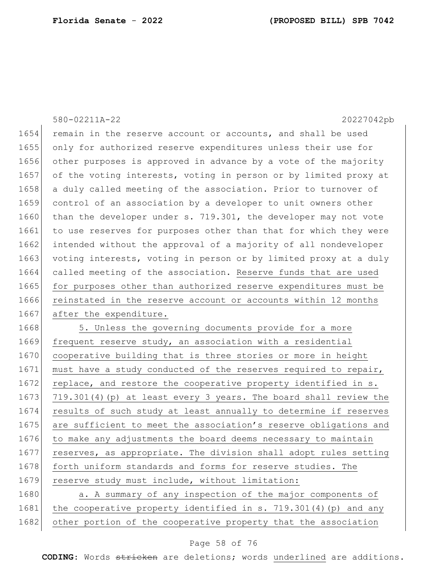|      | 20227042pb<br>580-02211A-22                                       |
|------|-------------------------------------------------------------------|
| 1654 | remain in the reserve account or accounts, and shall be used      |
| 1655 | only for authorized reserve expenditures unless their use for     |
| 1656 | other purposes is approved in advance by a vote of the majority   |
| 1657 | of the voting interests, voting in person or by limited proxy at  |
| 1658 | a duly called meeting of the association. Prior to turnover of    |
| 1659 | control of an association by a developer to unit owners other     |
| 1660 | than the developer under s. 719.301, the developer may not vote   |
| 1661 | to use reserves for purposes other than that for which they were  |
| 1662 | intended without the approval of a majority of all nondeveloper   |
| 1663 | voting interests, voting in person or by limited proxy at a duly  |
| 1664 | called meeting of the association. Reserve funds that are used    |
| 1665 | for purposes other than authorized reserve expenditures must be   |
| 1666 | reinstated in the reserve account or accounts within 12 months    |
| 1667 | after the expenditure.                                            |
| 1668 | 5. Unless the governing documents provide for a more              |
| 1669 | frequent reserve study, an association with a residential         |
| 1670 | cooperative building that is three stories or more in height      |
| 1671 | must have a study conducted of the reserves required to repair,   |
| 1672 | replace, and restore the cooperative property identified in s.    |
| 1673 | 719.301(4) (p) at least every 3 years. The board shall review the |
| 1674 | results of such study at least annually to determine if reserves  |
| 1675 | are sufficient to meet the association's reserve obligations and  |
| 1676 | to make any adjustments the board deems necessary to maintain     |
| 1677 | reserves, as appropriate. The division shall adopt rules setting  |
| 1678 | forth uniform standards and forms for reserve studies. The        |
| 1679 | reserve study must include, without limitation:                   |
| 1680 | a. A summary of any inspection of the major components of         |
| 1681 | the cooperative property identified in s. 719.301(4) (p) and any  |
| 1682 | other portion of the cooperative property that the association    |

# Page 58 of 76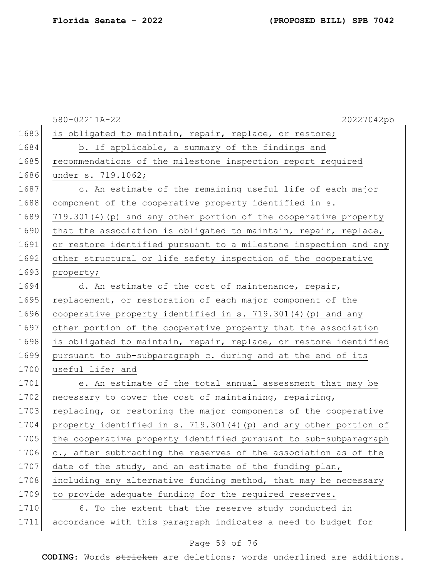|      | 580-02211A-22<br>20227042pb                                      |
|------|------------------------------------------------------------------|
| 1683 | is obligated to maintain, repair, replace, or restore;           |
| 1684 | b. If applicable, a summary of the findings and                  |
| 1685 | recommendations of the milestone inspection report required      |
| 1686 | under s. 719.1062;                                               |
| 1687 | c. An estimate of the remaining useful life of each major        |
| 1688 | component of the cooperative property identified in s.           |
| 1689 | 719.301(4) (p) and any other portion of the cooperative property |
| 1690 | that the association is obligated to maintain, repair, replace,  |
| 1691 | or restore identified pursuant to a milestone inspection and any |
| 1692 | other structural or life safety inspection of the cooperative    |
| 1693 | property;                                                        |
| 1694 | d. An estimate of the cost of maintenance, repair,               |
| 1695 | replacement, or restoration of each major component of the       |
| 1696 | cooperative property identified in s. 719.301(4) (p) and any     |
| 1697 | other portion of the cooperative property that the association   |
| 1698 | is obligated to maintain, repair, replace, or restore identified |
| 1699 | pursuant to sub-subparagraph c. during and at the end of its     |
| 1700 | useful life; and                                                 |
| 1701 | e. An estimate of the total annual assessment that may be        |
| 1702 | necessary to cover the cost of maintaining, repairing,           |
| 1703 | replacing, or restoring the major components of the cooperative  |
| 1704 | property identified in s. 719.301(4)(p) and any other portion of |
| 1705 | the cooperative property identified pursuant to sub-subparagraph |
| 1706 | c., after subtracting the reserves of the association as of the  |
| 1707 | date of the study, and an estimate of the funding plan,          |
| 1708 | including any alternative funding method, that may be necessary  |
| 1709 | to provide adequate funding for the required reserves.           |
| 1710 | 6. To the extent that the reserve study conducted in             |
| 1711 | accordance with this paragraph indicates a need to budget for    |

# Page 59 of 76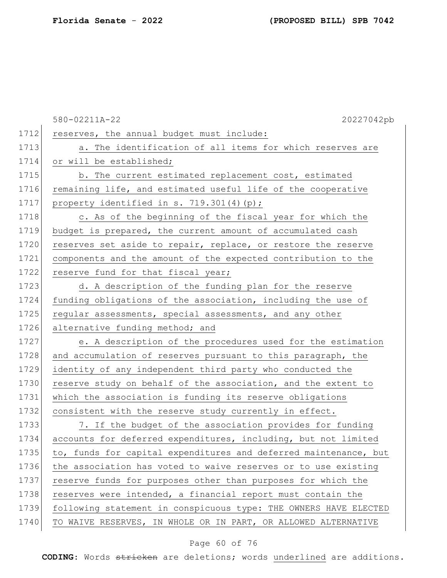|      | 20227042pb<br>580-02211A-22                                      |
|------|------------------------------------------------------------------|
| 1712 | reserves, the annual budget must include:                        |
| 1713 | a. The identification of all items for which reserves are        |
| 1714 | or will be established;                                          |
| 1715 | b. The current estimated replacement cost, estimated             |
| 1716 | remaining life, and estimated useful life of the cooperative     |
| 1717 | property identified in s. 719.301(4)(p);                         |
| 1718 | c. As of the beginning of the fiscal year for which the          |
| 1719 | budget is prepared, the current amount of accumulated cash       |
| 1720 | reserves set aside to repair, replace, or restore the reserve    |
| 1721 | components and the amount of the expected contribution to the    |
| 1722 | reserve fund for that fiscal year;                               |
| 1723 | d. A description of the funding plan for the reserve             |
| 1724 | funding obligations of the association, including the use of     |
| 1725 | regular assessments, special assessments, and any other          |
| 1726 | alternative funding method; and                                  |
| 1727 | e. A description of the procedures used for the estimation       |
| 1728 | and accumulation of reserves pursuant to this paragraph, the     |
| 1729 | identity of any independent third party who conducted the        |
| 1730 | reserve study on behalf of the association, and the extent to    |
| 1731 | which the association is funding its reserve obligations         |
| 1732 | consistent with the reserve study currently in effect.           |
| 1733 | 7. If the budget of the association provides for funding         |
| 1734 | accounts for deferred expenditures, including, but not limited   |
| 1735 | to, funds for capital expenditures and deferred maintenance, but |
| 1736 | the association has voted to waive reserves or to use existing   |
| 1737 | reserve funds for purposes other than purposes for which the     |
| 1738 | reserves were intended, a financial report must contain the      |
| 1739 | following statement in conspicuous type: THE OWNERS HAVE ELECTED |
| 1740 | TO WAIVE RESERVES, IN WHOLE OR IN PART, OR ALLOWED ALTERNATIVE   |
|      |                                                                  |

# Page 60 of 76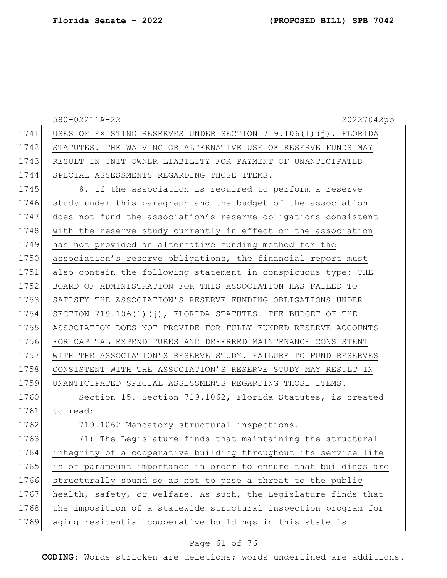|      | 580-02211A-22<br>20227042pb                                      |
|------|------------------------------------------------------------------|
| 1741 | USES OF EXISTING RESERVES UNDER SECTION 719.106(1)(j), FLORIDA   |
| 1742 | STATUTES. THE WAIVING OR ALTERNATIVE USE OF RESERVE FUNDS MAY    |
| 1743 | RESULT IN UNIT OWNER LIABILITY FOR PAYMENT OF UNANTICIPATED      |
| 1744 | SPECIAL ASSESSMENTS REGARDING THOSE ITEMS.                       |
| 1745 | 8. If the association is required to perform a reserve           |
| 1746 | study under this paragraph and the budget of the association     |
| 1747 | does not fund the association's reserve obligations consistent   |
| 1748 | with the reserve study currently in effect or the association    |
| 1749 | has not provided an alternative funding method for the           |
| 1750 | association's reserve obligations, the financial report must     |
| 1751 | also contain the following statement in conspicuous type: THE    |
| 1752 | BOARD OF ADMINISTRATION FOR THIS ASSOCIATION HAS FAILED TO       |
| 1753 | SATISFY THE ASSOCIATION'S RESERVE FUNDING OBLIGATIONS UNDER      |
| 1754 | SECTION 719.106(1)(j), FLORIDA STATUTES. THE BUDGET OF THE       |
| 1755 | ASSOCIATION DOES NOT PROVIDE FOR FULLY FUNDED RESERVE ACCOUNTS   |
| 1756 | FOR CAPITAL EXPENDITURES AND DEFERRED MAINTENANCE CONSISTENT     |
| 1757 | WITH THE ASSOCIATION'S RESERVE STUDY. FAILURE TO FUND RESERVES   |
| 1758 | CONSISTENT WITH THE ASSOCIATION'S RESERVE STUDY MAY RESULT IN    |
| 1759 | UNANTICIPATED SPECIAL ASSESSMENTS REGARDING THOSE ITEMS.         |
| 1760 | Section 15. Section 719.1062, Florida Statutes, is created       |
| 1761 | to read:                                                         |
| 1762 | 719.1062 Mandatory structural inspections.-                      |
| 1763 | (1) The Legislature finds that maintaining the structural        |
| 1764 | integrity of a cooperative building throughout its service life  |
| 1765 | is of paramount importance in order to ensure that buildings are |
| 1766 | structurally sound so as not to pose a threat to the public      |
| 1767 | health, safety, or welfare. As such, the Legislature finds that  |
| 1768 | the imposition of a statewide structural inspection program for  |
| 1769 | aging residential cooperative buildings in this state is         |

# Page 61 of 76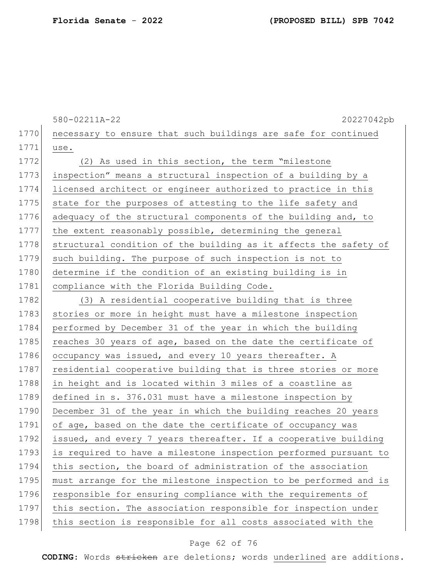|      | 580-02211A-22<br>20227042pb                                      |
|------|------------------------------------------------------------------|
| 1770 | necessary to ensure that such buildings are safe for continued   |
| 1771 | use.                                                             |
| 1772 | (2) As used in this section, the term "milestone                 |
| 1773 | inspection" means a structural inspection of a building by a     |
| 1774 | licensed architect or engineer authorized to practice in this    |
| 1775 | state for the purposes of attesting to the life safety and       |
| 1776 | adequacy of the structural components of the building and, to    |
| 1777 | the extent reasonably possible, determining the general          |
| 1778 | structural condition of the building as it affects the safety of |
| 1779 | such building. The purpose of such inspection is not to          |
| 1780 | determine if the condition of an existing building is in         |
| 1781 | compliance with the Florida Building Code.                       |
| 1782 | (3) A residential cooperative building that is three             |
| 1783 | stories or more in height must have a milestone inspection       |
| 1784 | performed by December 31 of the year in which the building       |
| 1785 | reaches 30 years of age, based on the date the certificate of    |
| 1786 | occupancy was issued, and every 10 years thereafter. A           |
| 1787 | residential cooperative building that is three stories or more   |
| 1788 | in height and is located within 3 miles of a coastline as        |
| 1789 | defined in s. 376.031 must have a milestone inspection by        |
| 1790 | December 31 of the year in which the building reaches 20 years   |
| 1791 | of age, based on the date the certificate of occupancy was       |
| 1792 | issued, and every 7 years thereafter. If a cooperative building  |
| 1793 | is required to have a milestone inspection performed pursuant to |
| 1794 | this section, the board of administration of the association     |
| 1795 | must arrange for the milestone inspection to be performed and is |
| 1796 | responsible for ensuring compliance with the requirements of     |
| 1797 | this section. The association responsible for inspection under   |
| 1798 | this section is responsible for all costs associated with the    |

# Page 62 of 76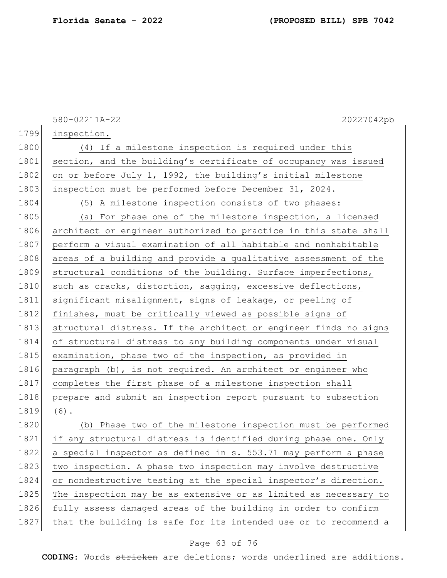**Florida Senate** - **2022 (PROPOSED BILL) SPB 7042**

|      | 580-02211A-22<br>20227042pb                                      |
|------|------------------------------------------------------------------|
| 1799 | inspection.                                                      |
| 1800 | (4) If a milestone inspection is required under this             |
| 1801 | section, and the building's certificate of occupancy was issued  |
| 1802 | on or before July 1, 1992, the building's initial milestone      |
| 1803 | inspection must be performed before December 31, 2024.           |
| 1804 | (5) A milestone inspection consists of two phases:               |
| 1805 | (a) For phase one of the milestone inspection, a licensed        |
| 1806 | architect or engineer authorized to practice in this state shall |
| 1807 | perform a visual examination of all habitable and nonhabitable   |
| 1808 | areas of a building and provide a qualitative assessment of the  |
| 1809 | structural conditions of the building. Surface imperfections,    |
| 1810 | such as cracks, distortion, sagging, excessive deflections,      |
| 1811 | significant misalignment, signs of leakage, or peeling of        |
| 1812 | finishes, must be critically viewed as possible signs of         |
| 1813 | structural distress. If the architect or engineer finds no signs |
| 1814 | of structural distress to any building components under visual   |
| 1815 | examination, phase two of the inspection, as provided in         |
| 1816 | paragraph (b), is not required. An architect or engineer who     |
| 1817 | completes the first phase of a milestone inspection shall        |
| 1818 | prepare and submit an inspection report pursuant to subsection   |
| 1819 | $(6)$ .                                                          |
| 1820 | (b) Phase two of the milestone inspection must be performed      |
| 1821 | if any structural distress is identified during phase one. Only  |
| 1822 | a special inspector as defined in s. 553.71 may perform a phase  |
| 1823 | two inspection. A phase two inspection may involve destructive   |
| 1824 | or nondestructive testing at the special inspector's direction.  |
| 1825 | The inspection may be as extensive or as limited as necessary to |
| 1826 | fully assess damaged areas of the building in order to confirm   |
| 1827 | that the building is safe for its intended use or to recommend a |

# Page 63 of 76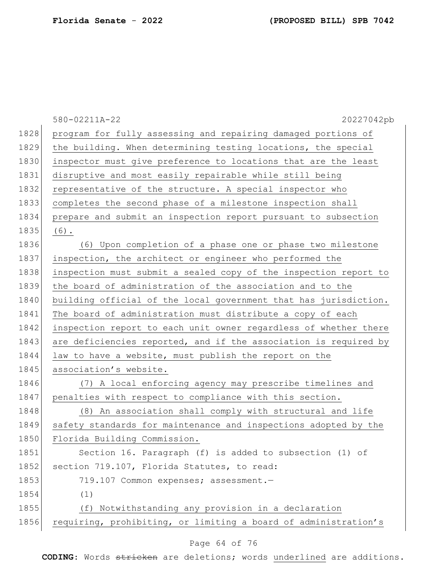|      | 580-02211A-22<br>20227042pb                                      |
|------|------------------------------------------------------------------|
| 1828 | program for fully assessing and repairing damaged portions of    |
| 1829 | the building. When determining testing locations, the special    |
| 1830 | inspector must give preference to locations that are the least   |
| 1831 | disruptive and most easily repairable while still being          |
| 1832 | representative of the structure. A special inspector who         |
| 1833 | completes the second phase of a milestone inspection shall       |
| 1834 | prepare and submit an inspection report pursuant to subsection   |
| 1835 | $(6)$ .                                                          |
| 1836 | (6) Upon completion of a phase one or phase two milestone        |
| 1837 | inspection, the architect or engineer who performed the          |
| 1838 | inspection must submit a sealed copy of the inspection report to |
| 1839 | the board of administration of the association and to the        |
| 1840 | building official of the local government that has jurisdiction. |
| 1841 | The board of administration must distribute a copy of each       |
| 1842 | inspection report to each unit owner regardless of whether there |
| 1843 | are deficiencies reported, and if the association is required by |
| 1844 | law to have a website, must publish the report on the            |
| 1845 | association's website.                                           |
| 1846 | (7) A local enforcing agency may prescribe timelines and         |
| 1847 | penalties with respect to compliance with this section.          |
| 1848 | (8) An association shall comply with structural and life         |
| 1849 | safety standards for maintenance and inspections adopted by the  |
| 1850 | Florida Building Commission.                                     |
| 1851 | Section 16. Paragraph (f) is added to subsection (1) of          |
| 1852 | section 719.107, Florida Statutes, to read:                      |
| 1853 | 719.107 Common expenses; assessment.-                            |
| 1854 | (1)                                                              |
| 1855 | Notwithstanding any provision in a declaration<br>(f)            |
| 1856 | requiring, prohibiting, or limiting a board of administration's  |
|      |                                                                  |

### Page 64 of 76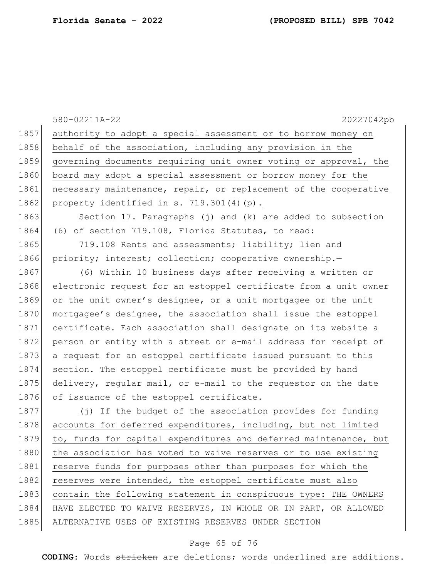580-02211A-22 20227042pb 1857 authority to adopt a special assessment or to borrow money on 1858 behalf of the association, including any provision in the 1859 governing documents requiring unit owner voting or approval, the 1860 board may adopt a special assessment or borrow money for the 1861 necessary maintenance, repair, or replacement of the cooperative 1862 property identified in s. 719.301(4)(p). 1863 Section 17. Paragraphs (j) and (k) are added to subsection 1864 (6) of section 719.108, Florida Statutes, to read: 1865 719.108 Rents and assessments; liability; lien and 1866 priority; interest; collection; cooperative ownership. 1867 (6) Within 10 business days after receiving a written or 1868 electronic request for an estoppel certificate from a unit owner 1869 or the unit owner's designee, or a unit mortgagee or the unit 1870 mortgagee's designee, the association shall issue the estoppel 1871 certificate. Each association shall designate on its website a 1872 person or entity with a street or e-mail address for receipt of 1873 a request for an estoppel certificate issued pursuant to this 1874 section. The estoppel certificate must be provided by hand 1875 delivery, regular mail, or e-mail to the requestor on the date 1876 of issuance of the estoppel certificate. 1877 (j) If the budget of the association provides for funding 1878 accounts for deferred expenditures, including, but not limited 1879 to, funds for capital expenditures and deferred maintenance, but 1880 the association has voted to waive reserves or to use existing 1881 reserve funds for purposes other than purposes for which the 1882 reserves were intended, the estoppel certificate must also 1883 contain the following statement in conspicuous type: THE OWNERS 1884 HAVE ELECTED TO WAIVE RESERVES, IN WHOLE OR IN PART, OR ALLOWED 1885 ALTERNATIVE USES OF EXISTING RESERVES UNDER SECTION

#### Page 65 of 76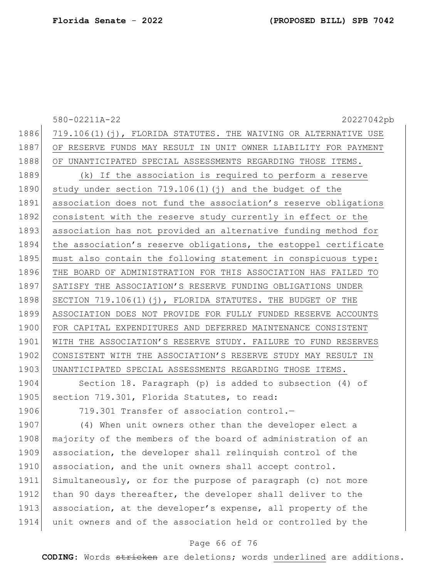|                     | 580-02211A-22<br>20227042pb                                     |
|---------------------|-----------------------------------------------------------------|
| 1886                | 719.106(1)(j), FLORIDA STATUTES. THE WAIVING OR ALTERNATIVE USE |
| 1887                | OF RESERVE FUNDS MAY RESULT IN UNIT OWNER LIABILITY FOR PAYMENT |
| 1888                | OF UNANTICIPATED SPECIAL ASSESSMENTS REGARDING THOSE ITEMS.     |
| 1889                | (k) If the association is required to perform a reserve         |
| 1890                | study under section $719.106(1)$ (j) and the budget of the      |
| 1891                | association does not fund the association's reserve obligations |
| 1892                | consistent with the reserve study currently in effect or the    |
| 1893                | association has not provided an alternative funding method for  |
| 1894                | the association's reserve obligations, the estoppel certificate |
| 1895                | must also contain the following statement in conspicuous type:  |
| 1896                | THE BOARD OF ADMINISTRATION FOR THIS ASSOCIATION HAS FAILED TO  |
| 1897                | SATISFY THE ASSOCIATION'S RESERVE FUNDING OBLIGATIONS UNDER     |
| 1898                | SECTION 719.106(1)(j), FLORIDA STATUTES. THE BUDGET OF THE      |
| 1899                | ASSOCIATION DOES NOT PROVIDE FOR FULLY FUNDED RESERVE ACCOUNTS  |
| 1900                | FOR CAPITAL EXPENDITURES AND DEFERRED MAINTENANCE CONSISTENT    |
| 1901                | WITH THE ASSOCIATION'S RESERVE STUDY. FAILURE TO FUND RESERVES  |
| 1902                | CONSISTENT WITH THE ASSOCIATION'S RESERVE STUDY MAY RESULT IN   |
| 1903                | UNANTICIPATED SPECIAL ASSESSMENTS REGARDING THOSE ITEMS.        |
| $1$ Q $0$ $\Lambda$ | Section $18$ Paragraph $(n)$ is added to subsection $(1)$ of    |

1904| Section 18. Paragraph (p) is added to subsection (4) of 1905 section 719.301, Florida Statutes, to read:

1906 719.301 Transfer of association control.-

1907 (4) When unit owners other than the developer elect a 1908 majority of the members of the board of administration of an association, the developer shall relinquish control of the 1910 association, and the unit owners shall accept control. Simultaneously, or for the purpose of paragraph (c) not more 1912 than 90 days thereafter, the developer shall deliver to the association, at the developer's expense, all property of the unit owners and of the association held or controlled by the

### Page 66 of 76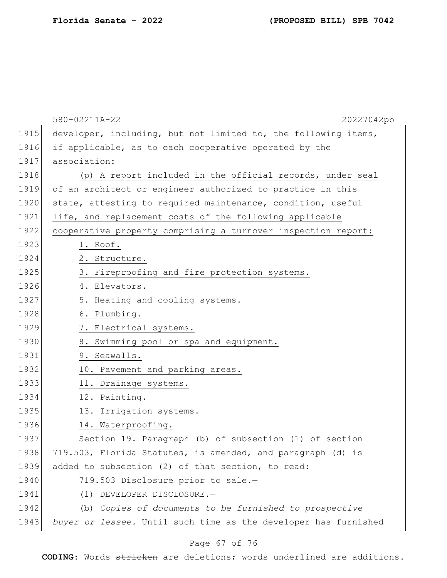|      | 580-02211A-22<br>20227042pb                                     |
|------|-----------------------------------------------------------------|
| 1915 | developer, including, but not limited to, the following items,  |
| 1916 | if applicable, as to each cooperative operated by the           |
| 1917 | association:                                                    |
| 1918 | (p) A report included in the official records, under seal       |
| 1919 | of an architect or engineer authorized to practice in this      |
| 1920 | state, attesting to required maintenance, condition, useful     |
| 1921 | life, and replacement costs of the following applicable         |
| 1922 | cooperative property comprising a turnover inspection report:   |
| 1923 | 1. Roof.                                                        |
| 1924 | 2. Structure.                                                   |
| 1925 | 3. Fireproofing and fire protection systems.                    |
| 1926 | 4. Elevators.                                                   |
| 1927 | 5. Heating and cooling systems.                                 |
| 1928 | 6. Plumbing.                                                    |
| 1929 | 7. Electrical systems.                                          |
| 1930 | 8. Swimming pool or spa and equipment.                          |
| 1931 | 9. Seawalls.                                                    |
| 1932 | 10. Pavement and parking areas.                                 |
| 1933 | 11. Drainage systems.                                           |
| 1934 | 12. Painting.                                                   |
| 1935 | 13. Irrigation systems.                                         |
| 1936 | 14. Waterproofing.                                              |
| 1937 | Section 19. Paragraph (b) of subsection (1) of section          |
| 1938 | 719.503, Florida Statutes, is amended, and paragraph (d) is     |
| 1939 | added to subsection (2) of that section, to read:               |
| 1940 | 719.503 Disclosure prior to sale.-                              |
| 1941 | DEVELOPER DISCLOSURE.-<br>(1)                                   |
| 1942 | (b) Copies of documents to be furnished to prospective          |
| 1943 | buyer or lessee.-Until such time as the developer has furnished |
|      |                                                                 |

# Page 67 of 76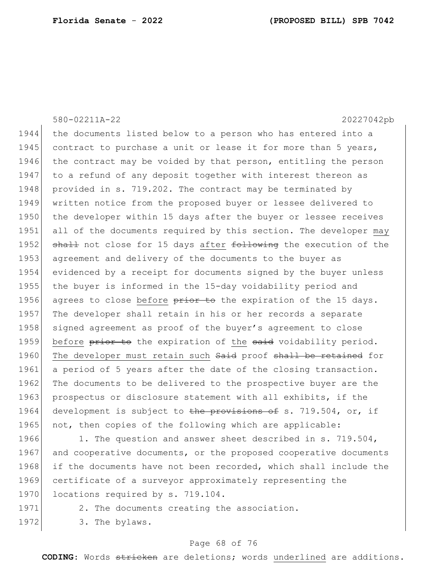580-02211A-22 20227042pb 1944 the documents listed below to a person who has entered into a 1945 contract to purchase a unit or lease it for more than 5 years, 1946 the contract may be voided by that person, entitling the person 1947 to a refund of any deposit together with interest thereon as 1948 provided in s. 719.202. The contract may be terminated by 1949 written notice from the proposed buyer or lessee delivered to 1950 the developer within 15 days after the buyer or lessee receives 1951 all of the documents required by this section. The developer may 1952 shall not close for 15 days after following the execution of the 1953 agreement and delivery of the documents to the buyer as 1954 evidenced by a receipt for documents signed by the buyer unless 1955 the buyer is informed in the 15-day voidability period and 1956 agrees to close before  $\frac{p}{p+1}$  be the expiration of the 15 days. 1957 The developer shall retain in his or her records a separate 1958 signed agreement as proof of the buyer's agreement to close 1959 before prior to the expiration of the said voidability period. 1960 The developer must retain such Said proof shall be retained for 1961 a period of 5 years after the date of the closing transaction. 1962 The documents to be delivered to the prospective buyer are the 1963 prospectus or disclosure statement with all exhibits, if the 1964 development is subject to the provisions of s. 719.504, or, if 1965 not, then copies of the following which are applicable: 1966 1. The question and answer sheet described in s. 719.504,

1967 and cooperative documents, or the proposed cooperative documents 1968 if the documents have not been recorded, which shall include the 1969 certificate of a surveyor approximately representing the 1970 locations required by s. 719.104.

1971 2. The documents creating the association.

1972 3. The bylaws.

#### Page 68 of 76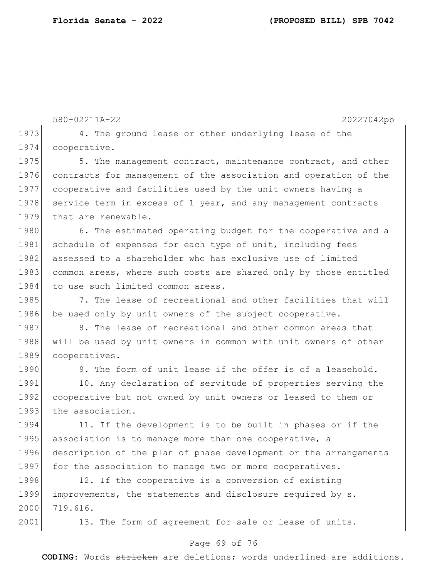580-02211A-22 20227042pb 1973 4. The ground lease or other underlying lease of the 1974 cooperative. 1975 5. The management contract, maintenance contract, and other 1976 contracts for management of the association and operation of the 1977 cooperative and facilities used by the unit owners having a 1978 service term in excess of 1 year, and any management contracts 1979 that are renewable. 1980 6. The estimated operating budget for the cooperative and a 1981 schedule of expenses for each type of unit, including fees 1982 assessed to a shareholder who has exclusive use of limited 1983 common areas, where such costs are shared only by those entitled 1984 to use such limited common areas. 1985 7. The lease of recreational and other facilities that will 1986 be used only by unit owners of the subject cooperative. 1987 8. The lease of recreational and other common areas that 1988 will be used by unit owners in common with unit owners of other 1989 cooperatives. 1990 9. The form of unit lease if the offer is of a leasehold. 1991 10. Any declaration of servitude of properties serving the 1992 cooperative but not owned by unit owners or leased to them or 1993 the association. 1994 11. If the development is to be built in phases or if the 1995 association is to manage more than one cooperative, a 1996 description of the plan of phase development or the arrangements 1997 for the association to manage two or more cooperatives. 1998 12. If the cooperative is a conversion of existing 1999 improvements, the statements and disclosure required by s. 2000 719.616.

2001 13. The form of agreement for sale or lease of units.

### Page 69 of 76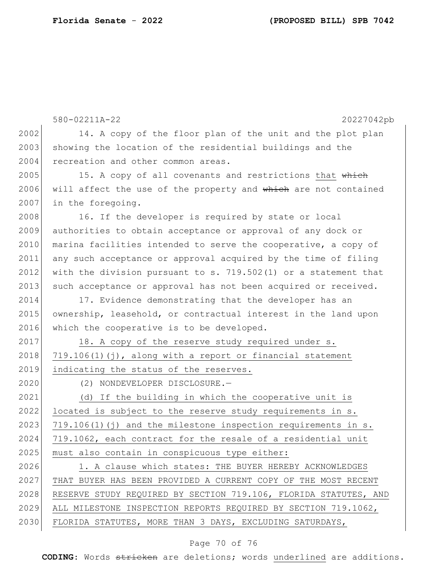|      | 580-02211A-22<br>20227042pb                                       |
|------|-------------------------------------------------------------------|
| 2002 | 14. A copy of the floor plan of the unit and the plot plan        |
| 2003 | showing the location of the residential buildings and the         |
| 2004 | recreation and other common areas.                                |
| 2005 | 15. A copy of all covenants and restrictions that which           |
| 2006 | will affect the use of the property and which are not contained   |
| 2007 | in the foregoing.                                                 |
| 2008 | 16. If the developer is required by state or local                |
| 2009 | authorities to obtain acceptance or approval of any dock or       |
| 2010 | marina facilities intended to serve the cooperative, a copy of    |
| 2011 | any such acceptance or approval acquired by the time of filing    |
| 2012 | with the division pursuant to s. $719.502(1)$ or a statement that |
| 2013 | such acceptance or approval has not been acquired or received.    |
| 2014 | 17. Evidence demonstrating that the developer has an              |
| 2015 | ownership, leasehold, or contractual interest in the land upon    |
| 2016 | which the cooperative is to be developed.                         |
| 2017 | 18. A copy of the reserve study required under s.                 |
| 2018 | $719.106(1)$ (j), along with a report or financial statement      |
| 2019 | indicating the status of the reserves.                            |
| 2020 | (2) NONDEVELOPER DISCLOSURE.-                                     |
| 2021 | (d) If the building in which the cooperative unit is              |
| 2022 | located is subject to the reserve study requirements in s.        |
| 2023 | $719.106(1)$ (j) and the milestone inspection requirements in s.  |
| 2024 | 719.1062, each contract for the resale of a residential unit      |
| 2025 | must also contain in conspicuous type either:                     |
| 2026 | 1. A clause which states: THE BUYER HEREBY ACKNOWLEDGES           |
| 2027 | THAT BUYER HAS BEEN PROVIDED A CURRENT COPY OF THE MOST RECENT    |
| 2028 | RESERVE STUDY REQUIRED BY SECTION 719.106, FLORIDA STATUTES, AND  |
| 2029 | ALL MILESTONE INSPECTION REPORTS REQUIRED BY SECTION 719.1062,    |
| 2030 | FLORIDA STATUTES, MORE THAN 3 DAYS, EXCLUDING SATURDAYS,          |
|      |                                                                   |

# Page 70 of 76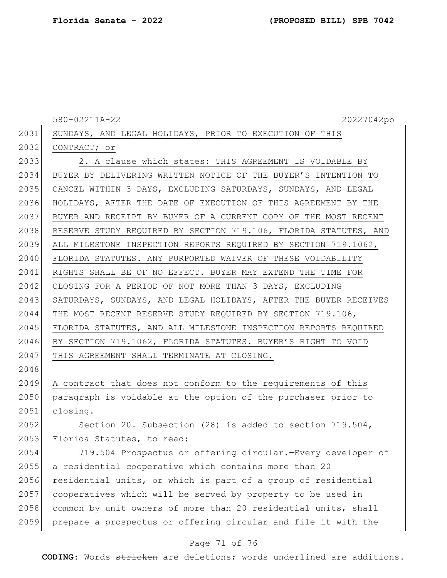580-02211A-22 20227042pb 2031 SUNDAYS, AND LEGAL HOLIDAYS, PRIOR TO EXECUTION OF THIS 2032 CONTRACT; or 2033 2. A clause which states: THIS AGREEMENT IS VOIDABLE BY 2034 BUYER BY DELIVERING WRITTEN NOTICE OF THE BUYER'S INTENTION TO 2035 CANCEL WITHIN 3 DAYS, EXCLUDING SATURDAYS, SUNDAYS, AND LEGAL 2036 HOLIDAYS, AFTER THE DATE OF EXECUTION OF THIS AGREEMENT BY THE 2037 BUYER AND RECEIPT BY BUYER OF A CURRENT COPY OF THE MOST RECENT 2038 RESERVE STUDY REQUIRED BY SECTION 719.106, FLORIDA STATUTES, AND 2039 ALL MILESTONE INSPECTION REPORTS REQUIRED BY SECTION 719.1062, 2040 FLORIDA STATUTES. ANY PURPORTED WAIVER OF THESE VOIDABILITY 2041 RIGHTS SHALL BE OF NO EFFECT. BUYER MAY EXTEND THE TIME FOR 2042 CLOSING FOR A PERIOD OF NOT MORE THAN 3 DAYS, EXCLUDING 2043 SATURDAYS, SUNDAYS, AND LEGAL HOLIDAYS, AFTER THE BUYER RECEIVES 2044 THE MOST RECENT RESERVE STUDY REQUIRED BY SECTION 719.106, 2045 FLORIDA STATUTES, AND ALL MILESTONE INSPECTION REPORTS REQUIRED 2046 BY SECTION 719.1062, FLORIDA STATUTES. BUYER'S RIGHT TO VOID 2047 | THIS AGREEMENT SHALL TERMINATE AT CLOSING. 2048 2049 A contract that does not conform to the requirements of this 2050 paragraph is voidable at the option of the purchaser prior to 2051 closing. 2052 Section 20. Subsection (28) is added to section 719.504, 2053 Florida Statutes, to read: 2054 719.504 Prospectus or offering circular.—Every developer of 2055 a residential cooperative which contains more than 20 2056 residential units, or which is part of a group of residential 2057 cooperatives which will be served by property to be used in 2058 common by unit owners of more than 20 residential units, shall 2059 prepare a prospectus or offering circular and file it with the

### Page 71 of 76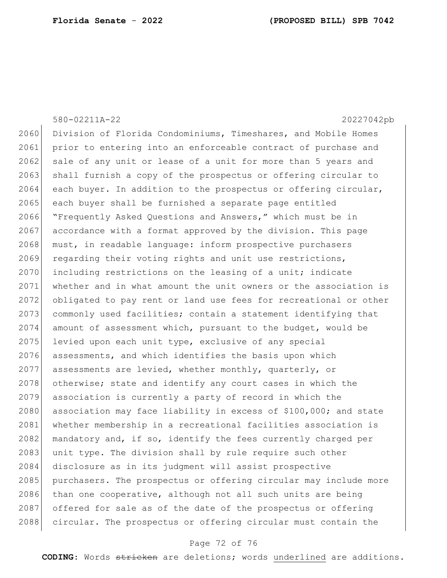|      | 580-02211A-22<br>20227042pb                                      |
|------|------------------------------------------------------------------|
| 2060 | Division of Florida Condominiums, Timeshares, and Mobile Homes   |
| 2061 | prior to entering into an enforceable contract of purchase and   |
| 2062 | sale of any unit or lease of a unit for more than 5 years and    |
| 2063 | shall furnish a copy of the prospectus or offering circular to   |
| 2064 | each buyer. In addition to the prospectus or offering circular,  |
| 2065 | each buyer shall be furnished a separate page entitled           |
| 2066 | "Frequently Asked Questions and Answers," which must be in       |
| 2067 | accordance with a format approved by the division. This page     |
| 2068 | must, in readable language: inform prospective purchasers        |
| 2069 | regarding their voting rights and unit use restrictions,         |
| 2070 | including restrictions on the leasing of a unit; indicate        |
| 2071 | whether and in what amount the unit owners or the association is |
| 2072 | obligated to pay rent or land use fees for recreational or other |
| 2073 | commonly used facilities; contain a statement identifying that   |
| 2074 | amount of assessment which, pursuant to the budget, would be     |
| 2075 | levied upon each unit type, exclusive of any special             |
| 2076 | assessments, and which identifies the basis upon which           |
| 2077 | assessments are levied, whether monthly, quarterly, or           |
| 2078 | otherwise; state and identify any court cases in which the       |
| 2079 | association is currently a party of record in which the          |
| 2080 | association may face liability in excess of \$100,000; and state |
| 2081 | whether membership in a recreational facilities association is   |
| 2082 | mandatory and, if so, identify the fees currently charged per    |
| 2083 | unit type. The division shall by rule require such other         |
| 2084 | disclosure as in its judgment will assist prospective            |
| 2085 | purchasers. The prospectus or offering circular may include more |
| 2086 | than one cooperative, although not all such units are being      |
| 2087 | offered for sale as of the date of the prospectus or offering    |
| 2088 | circular. The prospectus or offering circular must contain the   |

# Page 72 of 76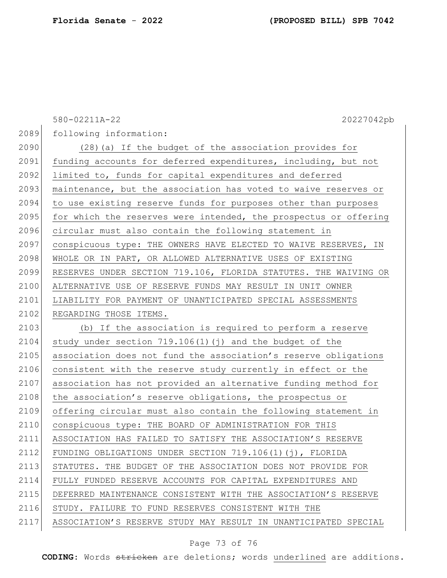580-02211A-22 20227042pb 2089 following information: 2090 (28)(a) If the budget of the association provides for 2091 funding accounts for deferred expenditures, including, but not 2092 limited to, funds for capital expenditures and deferred 2093 maintenance, but the association has voted to waive reserves or 2094 to use existing reserve funds for purposes other than purposes 2095 for which the reserves were intended, the prospectus or offering 2096 circular must also contain the following statement in 2097 conspicuous type: THE OWNERS HAVE ELECTED TO WAIVE RESERVES, IN 2098 WHOLE OR IN PART, OR ALLOWED ALTERNATIVE USES OF EXISTING 2099 RESERVES UNDER SECTION 719.106, FLORIDA STATUTES. THE WAIVING OR 2100 ALTERNATIVE USE OF RESERVE FUNDS MAY RESULT IN UNIT OWNER 2101 LIABILITY FOR PAYMENT OF UNANTICIPATED SPECIAL ASSESSMENTS 2102 REGARDING THOSE ITEMS. 2103 (b) If the association is required to perform a reserve 2104 study under section  $719.106(1)(j)$  and the budget of the 2105 association does not fund the association's reserve obligations 2106 consistent with the reserve study currently in effect or the 2107 association has not provided an alternative funding method for 2108 the association's reserve obligations, the prospectus or 2109 offering circular must also contain the following statement in 2110 conspicuous type: THE BOARD OF ADMINISTRATION FOR THIS 2111 ASSOCIATION HAS FAILED TO SATISFY THE ASSOCIATION'S RESERVE 2112 FUNDING OBLIGATIONS UNDER SECTION 719.106(1)(j), FLORIDA 2113 STATUTES. THE BUDGET OF THE ASSOCIATION DOES NOT PROVIDE FOR 2114 FULLY FUNDED RESERVE ACCOUNTS FOR CAPITAL EXPENDITURES AND 2115 DEFERRED MAINTENANCE CONSISTENT WITH THE ASSOCIATION'S RESERVE 2116 STUDY. FAILURE TO FUND RESERVES CONSISTENT WITH THE 2117 ASSOCIATION'S RESERVE STUDY MAY RESULT IN UNANTICIPATED SPECIAL

## Page 73 of 76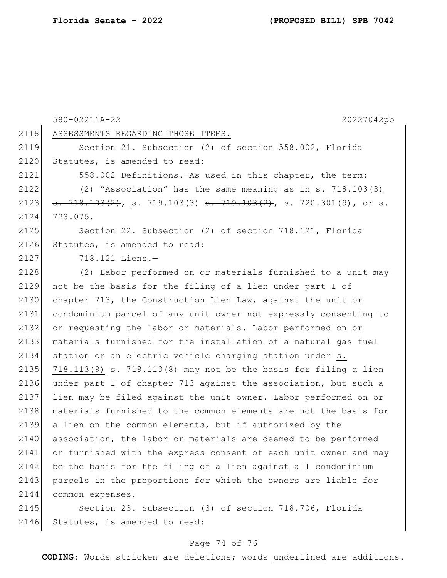580-02211A-22 20227042pb 2118 ASSESSMENTS REGARDING THOSE ITEMS. 2119 Section 21. Subsection (2) of section 558.002, Florida 2120 Statutes, is amended to read: 2121 558.002 Definitions.—As used in this chapter, the term: 2122 (2) "Association" has the same meaning as in s. 718.103(3) 2123  $\frac{1}{3}$ ,  $\frac{718.103(2)}{21}$ , s. 719.103(3)  $\frac{1}{3}$ ,  $\frac{719.103(2)}{21}$ , s. 720.301(9), or s. 2124 723.075. 2125 Section 22. Subsection (2) of section 718.121, Florida 2126 Statutes, is amended to read: 2127 718.121 Liens.— 2128 (2) Labor performed on or materials furnished to a unit may 2129 not be the basis for the filing of a lien under part I of 2130 chapter 713, the Construction Lien Law, against the unit or 2131 condominium parcel of any unit owner not expressly consenting to 2132 or requesting the labor or materials. Labor performed on or 2133 materials furnished for the installation of a natural gas fuel 2134 station or an electric vehicle charging station under s. 2135 718.113(9)  $\frac{1}{18.113(8)}$  may not be the basis for filing a lien 2136 under part I of chapter 713 against the association, but such a 2137 lien may be filed against the unit owner. Labor performed on or 2138 materials furnished to the common elements are not the basis for 2139 a lien on the common elements, but if authorized by the 2140 association, the labor or materials are deemed to be performed 2141 or furnished with the express consent of each unit owner and may 2142 be the basis for the filing of a lien against all condominium 2143 parcels in the proportions for which the owners are liable for 2144 common expenses. 2145 Section 23. Subsection (3) of section 718.706, Florida

2146 Statutes, is amended to read:

## Page 74 of 76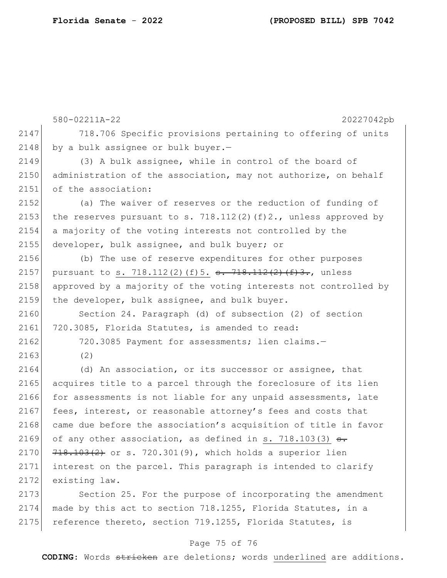|      | 580-02211A-22<br>20227042pb                                           |
|------|-----------------------------------------------------------------------|
| 2147 | 718.706 Specific provisions pertaining to offering of units           |
| 2148 | by a bulk assignee or bulk buyer.-                                    |
| 2149 | (3) A bulk assignee, while in control of the board of                 |
| 2150 | administration of the association, may not authorize, on behalf       |
| 2151 | of the association:                                                   |
| 2152 | (a) The waiver of reserves or the reduction of funding of             |
| 2153 | the reserves pursuant to s. 718.112(2)(f)2., unless approved by       |
| 2154 | a majority of the voting interests not controlled by the              |
| 2155 | developer, bulk assignee, and bulk buyer; or                          |
| 2156 | (b) The use of reserve expenditures for other purposes                |
| 2157 | pursuant to s. 718.112(2)(f)5. <del>s. 718.112(2)(f)3.</del> , unless |
| 2158 | approved by a majority of the voting interests not controlled by      |
| 2159 | the developer, bulk assignee, and bulk buyer.                         |
| 2160 | Section 24. Paragraph (d) of subsection (2) of section                |
| 2161 | 720.3085, Florida Statutes, is amended to read:                       |
| 2162 | 720.3085 Payment for assessments; lien claims.-                       |
| 2163 | (2)                                                                   |
| 2164 | (d) An association, or its successor or assignee, that                |
| 2165 | acquires title to a parcel through the foreclosure of its lien        |
| 2166 | for assessments is not liable for any unpaid assessments, late        |
| 2167 | fees, interest, or reasonable attorney's fees and costs that          |
| 2168 | came due before the association's acquisition of title in favor       |
| 2169 | of any other association, as defined in s. 718.103(3) <del>s.</del>   |
| 2170 | $718.103(2)$ or s. 720.301(9), which holds a superior lien            |
| 2171 | interest on the parcel. This paragraph is intended to clarify         |
| 2172 | existing law.                                                         |
| 2173 | Section 25. For the purpose of incorporating the amendment            |
| 2174 | made by this act to section 718.1255, Florida Statutes, in a          |

2175 reference thereto, section 719.1255, Florida Statutes, is

## Page 75 of 76